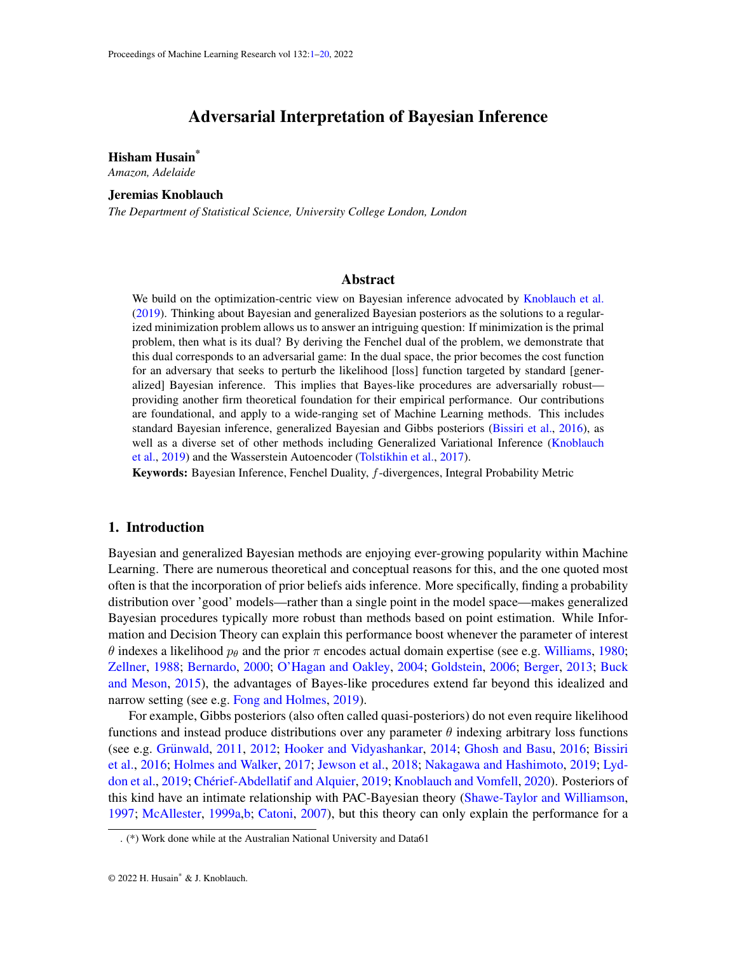# Adversarial Interpretation of Bayesian Inference

## <span id="page-0-0"></span>Hisham Husain\*

*Amazon, Adelaide*

## Jeremias Knoblauch

*The Department of Statistical Science, University College London, London*

## Abstract

We build on the optimization-centric view on Bayesian inference advocated by [Knoblauch et al.](#page-13-0) [\(2019\)](#page-13-0). Thinking about Bayesian and generalized Bayesian posteriors as the solutions to a regularized minimization problem allows us to answer an intriguing question: If minimization is the primal problem, then what is its dual? By deriving the Fenchel dual of the problem, we demonstrate that this dual corresponds to an adversarial game: In the dual space, the prior becomes the cost function for an adversary that seeks to perturb the likelihood [loss] function targeted by standard [generalized] Bayesian inference. This implies that Bayes-like procedures are adversarially robust providing another firm theoretical foundation for their empirical performance. Our contributions are foundational, and apply to a wide-ranging set of Machine Learning methods. This includes standard Bayesian inference, generalized Bayesian and Gibbs posteriors [\(Bissiri et al.,](#page-11-0) [2016\)](#page-11-0), as well as a diverse set of other methods including Generalized Variational Inference [\(Knoblauch](#page-13-0) [et al.,](#page-13-0) [2019\)](#page-13-0) and the Wasserstein Autoencoder [\(Tolstikhin et al.,](#page-15-0) [2017\)](#page-15-0).

Keywords: Bayesian Inference, Fenchel Duality, f-divergences, Integral Probability Metric

#### 1. Introduction

Bayesian and generalized Bayesian methods are enjoying ever-growing popularity within Machine Learning. There are numerous theoretical and conceptual reasons for this, and the one quoted most often is that the incorporation of prior beliefs aids inference. More specifically, finding a probability distribution over 'good' models—rather than a single point in the model space—makes generalized Bayesian procedures typically more robust than methods based on point estimation. While Information and Decision Theory can explain this performance boost whenever the parameter of interest θ indexes a likelihood  $p_\theta$  and the prior π encodes actual domain expertise (see e.g. [Williams,](#page-15-1) [1980;](#page-15-1) [Zellner,](#page-15-2) [1988;](#page-15-2) [Bernardo,](#page-11-1) [2000;](#page-11-1) [O'Hagan and Oakley,](#page-14-0) [2004;](#page-14-0) [Goldstein,](#page-12-0) [2006;](#page-12-0) [Berger,](#page-11-2) [2013;](#page-11-2) [Buck](#page-12-1) [and Meson,](#page-12-1) [2015\)](#page-12-1), the advantages of Bayes-like procedures extend far beyond this idealized and narrow setting (see e.g. [Fong and Holmes,](#page-12-2) [2019\)](#page-12-2).

For example, Gibbs posteriors (also often called quasi-posteriors) do not even require likelihood functions and instead produce distributions over any parameter  $\theta$  indexing arbitrary loss functions (see e.g. Grünwald, [2011,](#page-13-1) [2012;](#page-13-2) [Hooker and Vidyashankar,](#page-13-3) [2014;](#page-13-3) [Ghosh and Basu,](#page-12-3) [2016;](#page-12-3) [Bissiri](#page-11-0) [et al.,](#page-11-0) [2016;](#page-11-0) [Holmes and Walker,](#page-13-4) [2017;](#page-13-4) [Jewson et al.,](#page-13-5) [2018;](#page-13-5) [Nakagawa and Hashimoto,](#page-14-1) [2019;](#page-14-1) [Lyd](#page-14-2)[don et al.,](#page-14-2) [2019;](#page-12-4) Chérief-Abdellatif and Alquier, 2019; [Knoblauch and Vomfell,](#page-13-6) [2020\)](#page-13-6). Posteriors of this kind have an intimate relationship with PAC-Bayesian theory [\(Shawe-Taylor and Williamson,](#page-15-3) [1997;](#page-15-3) [McAllester,](#page-14-3) [1999a,](#page-14-3)[b;](#page-14-4) [Catoni,](#page-12-5) [2007\)](#page-12-5), but this theory can only explain the performance for a

<sup>. (\*)</sup> Work done while at the Australian National University and Data61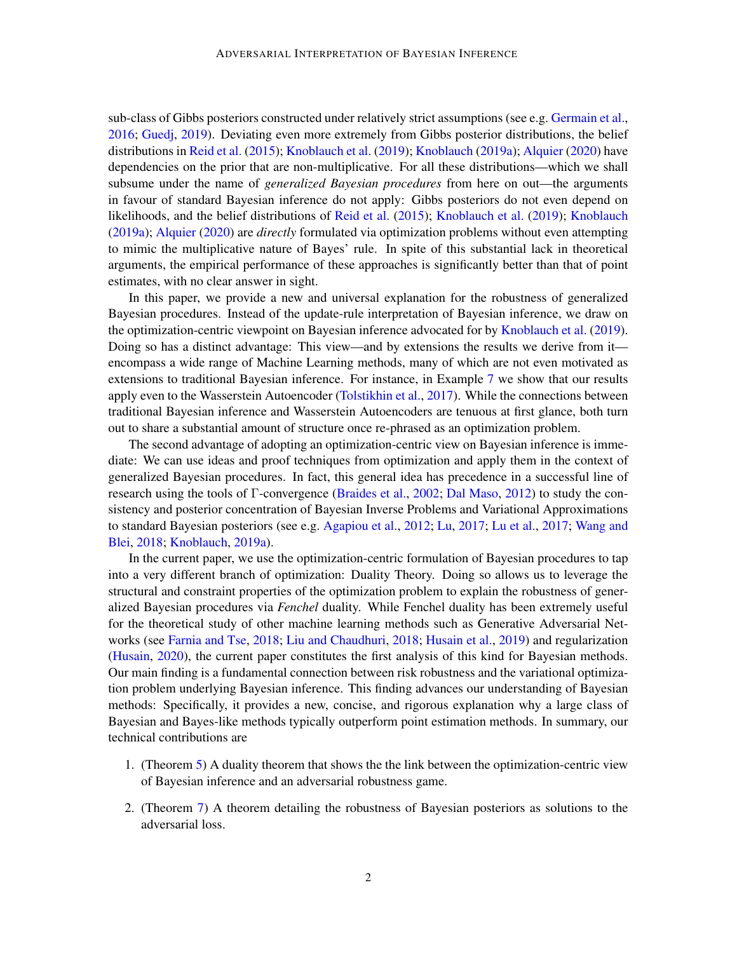sub-class of Gibbs posteriors constructed under relatively strict assumptions (see e.g. [Germain et al.,](#page-12-6) [2016;](#page-12-6) [Guedj,](#page-13-7) [2019\)](#page-13-7). Deviating even more extremely from Gibbs posterior distributions, the belief distributions in [Reid et al.](#page-14-5) [\(2015\)](#page-14-5); [Knoblauch et al.](#page-13-0) [\(2019\)](#page-13-0); [Knoblauch](#page-13-8) [\(2019a\)](#page-13-8); [Alquier](#page-11-3) [\(2020\)](#page-11-3) have dependencies on the prior that are non-multiplicative. For all these distributions—which we shall subsume under the name of *generalized Bayesian procedures* from here on out—the arguments in favour of standard Bayesian inference do not apply: Gibbs posteriors do not even depend on likelihoods, and the belief distributions of [Reid et al.](#page-14-5) [\(2015\)](#page-14-5); [Knoblauch et al.](#page-13-0) [\(2019\)](#page-13-0); [Knoblauch](#page-13-8) [\(2019a\)](#page-13-8); [Alquier](#page-11-3) [\(2020\)](#page-11-3) are *directly* formulated via optimization problems without even attempting to mimic the multiplicative nature of Bayes' rule. In spite of this substantial lack in theoretical arguments, the empirical performance of these approaches is significantly better than that of point estimates, with no clear answer in sight.

In this paper, we provide a new and universal explanation for the robustness of generalized Bayesian procedures. Instead of the update-rule interpretation of Bayesian inference, we draw on the optimization-centric viewpoint on Bayesian inference advocated for by [Knoblauch et al.](#page-13-0) [\(2019\)](#page-13-0). Doing so has a distinct advantage: This view—and by extensions the results we derive from it encompass a wide range of Machine Learning methods, many of which are not even motivated as extensions to traditional Bayesian inference. For instance, in Example [7](#page-9-0) we show that our results apply even to the Wasserstein Autoencoder [\(Tolstikhin et al.,](#page-15-0) [2017\)](#page-15-0). While the connections between traditional Bayesian inference and Wasserstein Autoencoders are tenuous at first glance, both turn out to share a substantial amount of structure once re-phrased as an optimization problem.

The second advantage of adopting an optimization-centric view on Bayesian inference is immediate: We can use ideas and proof techniques from optimization and apply them in the context of generalized Bayesian procedures. In fact, this general idea has precedence in a successful line of research using the tools of Γ-convergence [\(Braides et al.,](#page-11-4) [2002;](#page-11-4) [Dal Maso,](#page-12-7) [2012\)](#page-12-7) to study the consistency and posterior concentration of Bayesian Inverse Problems and Variational Approximations to standard Bayesian posteriors (see e.g. [Agapiou et al.,](#page-11-5) [2012;](#page-11-5) [Lu,](#page-14-6) [2017;](#page-14-6) [Lu et al.,](#page-14-7) [2017;](#page-14-7) [Wang and](#page-15-4) [Blei,](#page-15-4) [2018;](#page-15-4) [Knoblauch,](#page-13-8) [2019a\)](#page-13-8).

In the current paper, we use the optimization-centric formulation of Bayesian procedures to tap into a very different branch of optimization: Duality Theory. Doing so allows us to leverage the structural and constraint properties of the optimization problem to explain the robustness of generalized Bayesian procedures via *Fenchel* duality. While Fenchel duality has been extremely useful for the theoretical study of other machine learning methods such as Generative Adversarial Networks (see [Farnia and Tse,](#page-12-8) [2018;](#page-12-8) [Liu and Chaudhuri,](#page-13-9) [2018;](#page-13-9) [Husain et al.,](#page-13-10) [2019\)](#page-13-10) and regularization [\(Husain,](#page-13-11) [2020\)](#page-13-11), the current paper constitutes the first analysis of this kind for Bayesian methods. Our main finding is a fundamental connection between risk robustness and the variational optimization problem underlying Bayesian inference. This finding advances our understanding of Bayesian methods: Specifically, it provides a new, concise, and rigorous explanation why a large class of Bayesian and Bayes-like methods typically outperform point estimation methods. In summary, our technical contributions are

- 1. (Theorem [5\)](#page-6-0) A duality theorem that shows the the link between the optimization-centric view of Bayesian inference and an adversarial robustness game.
- 2. (Theorem [7\)](#page-7-0) A theorem detailing the robustness of Bayesian posteriors as solutions to the adversarial loss.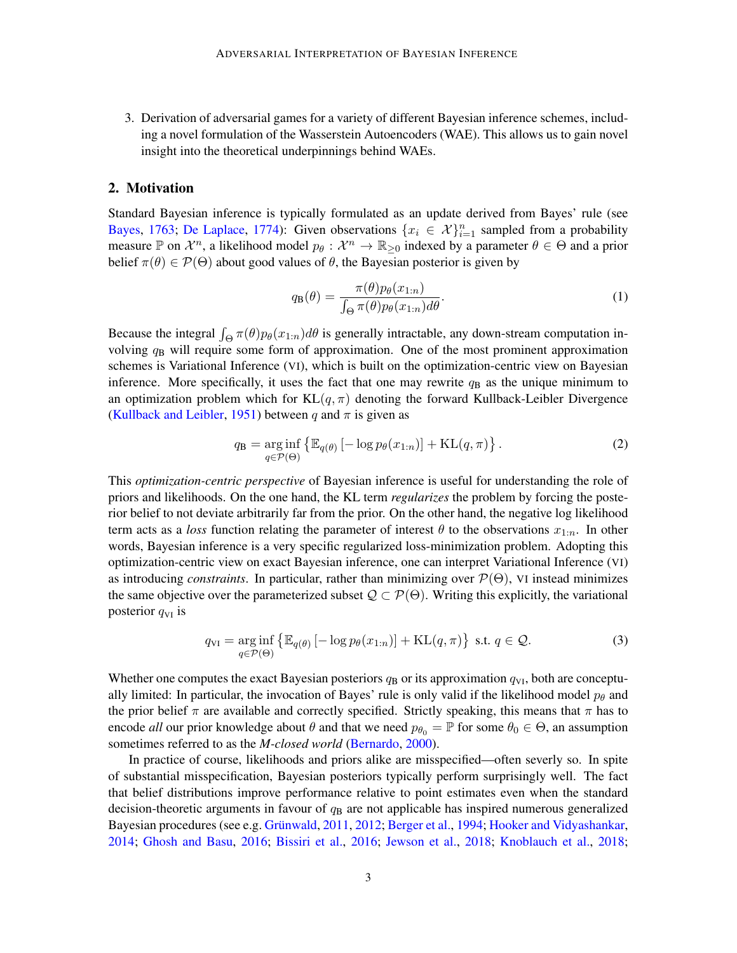3. Derivation of adversarial games for a variety of different Bayesian inference schemes, including a novel formulation of the Wasserstein Autoencoders (WAE). This allows us to gain novel insight into the theoretical underpinnings behind WAEs.

### 2. Motivation

Standard Bayesian inference is typically formulated as an update derived from Bayes' rule (see [Bayes,](#page-11-6) [1763;](#page-11-6) [De Laplace,](#page-12-9) [1774\)](#page-12-9): Given observations  $\{x_i \in \mathcal{X}\}_{i=1}^n$  sampled from a probability measure P on  $\mathcal{X}^n$ , a likelihood model  $p_\theta : \mathcal{X}^n \to \mathbb{R}_{\geq 0}$  indexed by a parameter  $\theta \in \Theta$  and a prior belief  $\pi(\theta) \in \mathcal{P}(\Theta)$  about good values of  $\theta$ , the Bayesian posterior is given by

<span id="page-2-2"></span><span id="page-2-0"></span>
$$
q_{\mathbf{B}}(\theta) = \frac{\pi(\theta)p_{\theta}(x_{1:n})}{\int_{\Theta} \pi(\theta)p_{\theta}(x_{1:n})d\theta}.
$$
 (1)

Because the integral  $\int_{\Theta} \pi(\theta)p_{\theta}(x_{1:n})d\theta$  is generally intractable, any down-stream computation involving  $q_B$  will require some form of approximation. One of the most prominent approximation schemes is Variational Inference (VI), which is built on the optimization-centric view on Bayesian inference. More specifically, it uses the fact that one may rewrite  $q_B$  as the unique minimum to an optimization problem which for  $KL(q, \pi)$  denoting the forward Kullback-Leibler Divergence [\(Kullback and Leibler,](#page-13-12) [1951\)](#page-13-12) between q and  $\pi$  is given as

$$
q_{\mathbf{B}} = \underset{q \in \mathcal{P}(\Theta)}{\arg \inf} \left\{ \mathbb{E}_{q(\theta)} \left[ -\log p_{\theta}(x_{1:n}) \right] + \mathrm{KL}(q, \pi) \right\}. \tag{2}
$$

This *optimization-centric perspective* of Bayesian inference is useful for understanding the role of priors and likelihoods. On the one hand, the KL term *regularizes* the problem by forcing the posterior belief to not deviate arbitrarily far from the prior. On the other hand, the negative log likelihood term acts as a *loss* function relating the parameter of interest  $\theta$  to the observations  $x_{1:n}$ . In other words, Bayesian inference is a very specific regularized loss-minimization problem. Adopting this optimization-centric view on exact Bayesian inference, one can interpret Variational Inference (VI) as introducing *constraints*. In particular, rather than minimizing over  $\mathcal{P}(\Theta)$ , VI instead minimizes the same objective over the parameterized subset  $\mathcal{Q} \subset \mathcal{P}(\Theta)$ . Writing this explicitly, the variational posterior  $q_{VI}$  is

<span id="page-2-1"></span>
$$
q_{\rm VI} = \underset{q \in \mathcal{P}(\Theta)}{\arg \inf} \left\{ \mathbb{E}_{q(\theta)} \left[ -\log p_{\theta}(x_{1:n}) \right] + \mathrm{KL}(q, \pi) \right\} \text{ s.t. } q \in \mathcal{Q}. \tag{3}
$$

Whether one computes the exact Bayesian posteriors  $q_B$  or its approximation  $q_{VI}$ , both are conceptually limited: In particular, the invocation of Bayes' rule is only valid if the likelihood model  $p_\theta$  and the prior belief  $\pi$  are available and correctly specified. Strictly speaking, this means that  $\pi$  has to encode *all* our prior knowledge about  $\theta$  and that we need  $p_{\theta_0} = \mathbb{P}$  for some  $\theta_0 \in \Theta$ , an assumption sometimes referred to as the *M-closed world* [\(Bernardo,](#page-11-1) [2000\)](#page-11-1).

In practice of course, likelihoods and priors alike are misspecified—often severly so. In spite of substantial misspecification, Bayesian posteriors typically perform surprisingly well. The fact that belief distributions improve performance relative to point estimates even when the standard decision-theoretic arguments in favour of  $q_B$  are not applicable has inspired numerous generalized Bayesian procedures (see e.g. Grünwald, [2011,](#page-13-1) [2012;](#page-13-2) [Berger et al.,](#page-11-7) [1994;](#page-11-7) [Hooker and Vidyashankar,](#page-13-3) [2014;](#page-13-3) [Ghosh and Basu,](#page-12-3) [2016;](#page-12-3) [Bissiri et al.,](#page-11-0) [2016;](#page-11-0) [Jewson et al.,](#page-13-5) [2018;](#page-13-5) [Knoblauch et al.,](#page-13-13) [2018;](#page-13-13)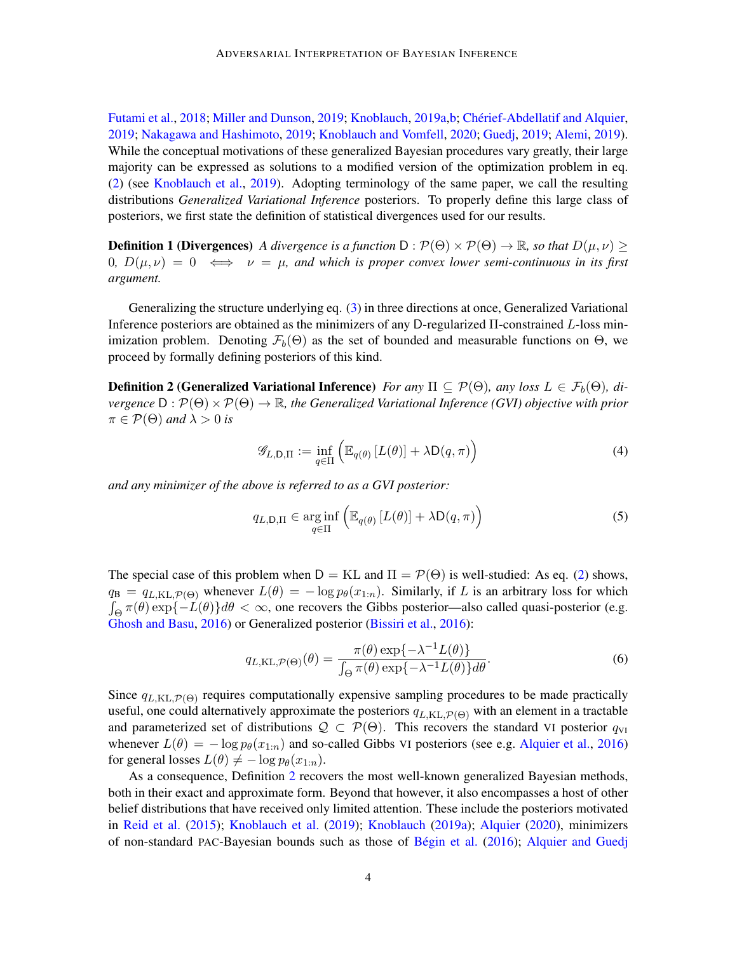[Futami et al.,](#page-12-10) [2018;](#page-12-10) [Miller and Dunson,](#page-14-8) [2019;](#page-14-8) [Knoblauch,](#page-13-8) [2019a,](#page-13-8)[b;](#page-13-14) Chérief-Abdellatif and Alquier, [2019;](#page-12-4) [Nakagawa and Hashimoto,](#page-14-1) [2019;](#page-14-1) [Knoblauch and Vomfell,](#page-13-6) [2020;](#page-13-6) [Guedj,](#page-13-7) [2019;](#page-13-7) [Alemi,](#page-11-8) [2019\)](#page-11-8). While the conceptual motivations of these generalized Bayesian procedures vary greatly, their large majority can be expressed as solutions to a modified version of the optimization problem in eq. [\(2\)](#page-2-0) (see [Knoblauch et al.,](#page-13-0) [2019\)](#page-13-0). Adopting terminology of the same paper, we call the resulting distributions *Generalized Variational Inference* posteriors. To properly define this large class of posteriors, we first state the definition of statistical divergences used for our results.

<span id="page-3-1"></span>**Definition 1 (Divergences)** *A divergence is a function* D :  $\mathcal{P}(\Theta) \times \mathcal{P}(\Theta) \rightarrow \mathbb{R}$ *, so that*  $D(\mu, \nu)$ 0*,*  $D(\mu, \nu) = 0 \iff \nu = \mu$ , and which is proper convex lower semi-continuous in its first *argument.*

Generalizing the structure underlying eq. [\(3\)](#page-2-1) in three directions at once, Generalized Variational Inference posteriors are obtained as the minimizers of any D-regularized Π-constrained L-loss minimization problem. Denoting  $\mathcal{F}_b(\Theta)$  as the set of bounded and measurable functions on  $\Theta$ , we proceed by formally defining posteriors of this kind.

**Definition 2 (Generalized Variational Inference)** *For any*  $\Pi \subseteq \mathcal{P}(\Theta)$ , *any loss*  $L \in \mathcal{F}_b(\Theta)$ , *divergence*  $D : \mathcal{P}(\Theta) \times \mathcal{P}(\Theta) \to \mathbb{R}$ *, the Generalized Variational Inference (GVI) objective with prior*  $\pi \in \mathcal{P}(\Theta)$  and  $\lambda > 0$  is

$$
\mathscr{G}_{L,\mathsf{D},\Pi} := \inf_{q \in \Pi} \left( \mathbb{E}_{q(\theta)} \left[ L(\theta) \right] + \lambda \mathsf{D}(q,\pi) \right) \tag{4}
$$

*and any minimizer of the above is referred to as a GVI posterior:*

<span id="page-3-0"></span>
$$
q_{L,\mathsf{D},\Pi} \in \underset{q \in \Pi}{\arg\inf} \left( \mathbb{E}_{q(\theta)} \left[ L(\theta) \right] + \lambda \mathsf{D}(q,\pi) \right) \tag{5}
$$

The special case of this problem when  $D = KL$  and  $\Pi = \mathcal{P}(\Theta)$  is well-studied: As eq. [\(2\)](#page-2-0) shows,  $q_B = q_{L,\text{KL},\mathcal{P}(\Theta)}$  whenever  $L(\theta) = -\log p_{\theta}(x_{1:n})$ . Similarly, if L is an arbitrary loss for which  $\int_{\Theta} \pi(\theta) \exp\{-L(\theta)\} d\theta < \infty$ , one recovers the Gibbs posterior—also called quasi-posterior (e.g. [Ghosh and Basu,](#page-12-3) [2016\)](#page-12-3) or Generalized posterior [\(Bissiri et al.,](#page-11-0) [2016\)](#page-11-0):

$$
q_{L,\text{KL},\mathcal{P}(\Theta)}(\theta) = \frac{\pi(\theta) \exp\{-\lambda^{-1} L(\theta)\}}{\int_{\Theta} \pi(\theta) \exp\{-\lambda^{-1} L(\theta)\} d\theta}.
$$
(6)

Since  $q_{L,\text{KL},\mathcal{P}(\Theta)}$  requires computationally expensive sampling procedures to be made practically useful, one could alternatively approximate the posteriors  $q_{L,KL,\mathcal{P}(\Theta)}$  with an element in a tractable and parameterized set of distributions  $\mathcal{Q} \subset \mathcal{P}(\Theta)$ . This recovers the standard VI posterior  $q_{VI}$ whenever  $L(\theta) = -\log p_{\theta}(x_{1:n})$  and so-called Gibbs VI posteriors (see e.g. [Alquier et al.,](#page-11-9) [2016\)](#page-11-9) for general losses  $L(\theta) \neq -\log p_{\theta}(x_{1:n}).$ 

As a consequence, Definition [2](#page-3-0) recovers the most well-known generalized Bayesian methods, both in their exact and approximate form. Beyond that however, it also encompasses a host of other belief distributions that have received only limited attention. These include the posteriors motivated in [Reid et al.](#page-14-5) [\(2015\)](#page-14-5); [Knoblauch et al.](#page-13-0) [\(2019\)](#page-13-0); [Knoblauch](#page-13-8) [\(2019a\)](#page-13-8); [Alquier](#page-11-3) [\(2020\)](#page-11-3), minimizers of non-standard PAC-Bayesian bounds such as those of Bégin et al. [\(2016\)](#page-11-10); [Alquier and Guedj](#page-11-11)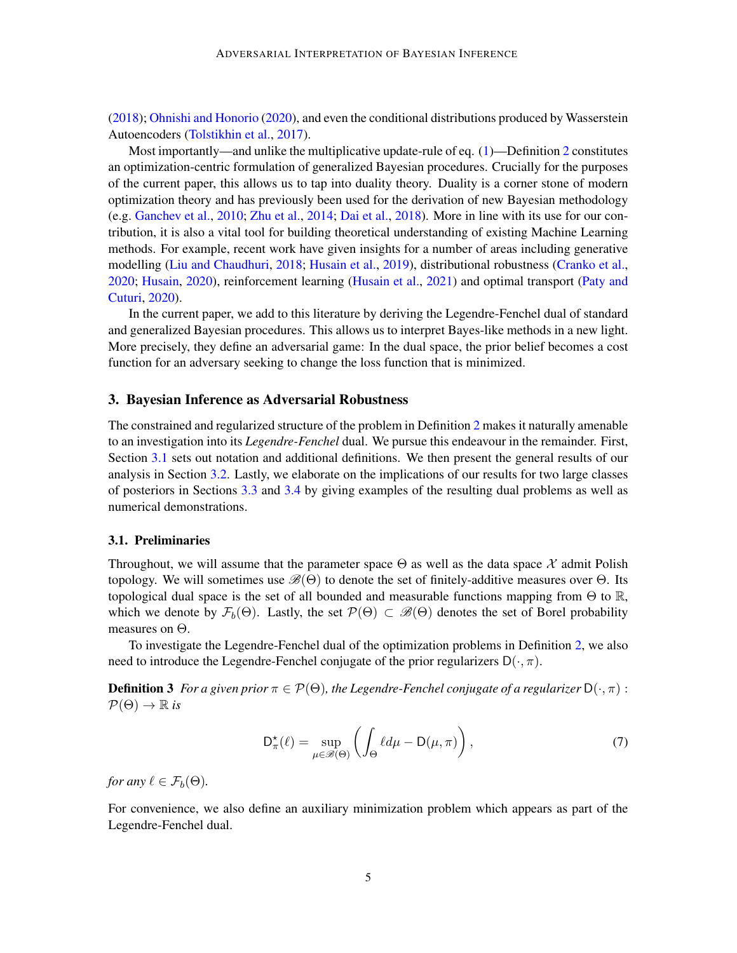[\(2018\)](#page-11-11); [Ohnishi and Honorio](#page-14-9) [\(2020\)](#page-14-9), and even the conditional distributions produced by Wasserstein Autoencoders [\(Tolstikhin et al.,](#page-15-0) [2017\)](#page-15-0).

Most importantly—and unlike the multiplicative update-rule of eq. [\(1\)](#page-2-2)—Definition [2](#page-3-0) constitutes an optimization-centric formulation of generalized Bayesian procedures. Crucially for the purposes of the current paper, this allows us to tap into duality theory. Duality is a corner stone of modern optimization theory and has previously been used for the derivation of new Bayesian methodology (e.g. [Ganchev et al.,](#page-12-11) [2010;](#page-12-11) [Zhu et al.,](#page-15-5) [2014;](#page-15-5) [Dai et al.,](#page-12-12) [2018\)](#page-12-12). More in line with its use for our contribution, it is also a vital tool for building theoretical understanding of existing Machine Learning methods. For example, recent work have given insights for a number of areas including generative modelling [\(Liu and Chaudhuri,](#page-13-9) [2018;](#page-13-9) [Husain et al.,](#page-13-10) [2019\)](#page-13-10), distributional robustness [\(Cranko et al.,](#page-12-13) [2020;](#page-12-13) [Husain,](#page-13-11) [2020\)](#page-13-11), reinforcement learning [\(Husain et al.,](#page-13-15) [2021\)](#page-13-15) and optimal transport [\(Paty and](#page-14-10) [Cuturi,](#page-14-10) [2020\)](#page-14-10).

In the current paper, we add to this literature by deriving the Legendre-Fenchel dual of standard and generalized Bayesian procedures. This allows us to interpret Bayes-like methods in a new light. More precisely, they define an adversarial game: In the dual space, the prior belief becomes a cost function for an adversary seeking to change the loss function that is minimized.

## 3. Bayesian Inference as Adversarial Robustness

The constrained and regularized structure of the problem in Definition [2](#page-3-0) makes it naturally amenable to an investigation into its *Legendre-Fenchel* dual. We pursue this endeavour in the remainder. First, Section [3.1](#page-4-0) sets out notation and additional definitions. We then present the general results of our analysis in Section [3.2.](#page-6-1) Lastly, we elaborate on the implications of our results for two large classes of posteriors in Sections [3.3](#page-7-1) and [3.4](#page-8-0) by giving examples of the resulting dual problems as well as numerical demonstrations.

## <span id="page-4-0"></span>3.1. Preliminaries

Throughout, we will assume that the parameter space  $\Theta$  as well as the data space X admit Polish topology. We will sometimes use  $\mathscr{B}(\Theta)$  to denote the set of finitely-additive measures over  $\Theta$ . Its topological dual space is the set of all bounded and measurable functions mapping from  $\Theta$  to  $\mathbb{R}$ , which we denote by  $\mathcal{F}_b(\Theta)$ . Lastly, the set  $\mathcal{P}(\Theta) \subset \mathcal{B}(\Theta)$  denotes the set of Borel probability measures on Θ.

To investigate the Legendre-Fenchel dual of the optimization problems in Definition [2,](#page-3-0) we also need to introduce the Legendre-Fenchel conjugate of the prior regularizers  $D(\cdot, \pi)$ .

**Definition 3** *For a given prior*  $\pi \in \mathcal{P}(\Theta)$ *, the Legendre-Fenchel conjugate of a regularizer*  $D(\cdot, \pi)$ :  $\mathcal{P}(\Theta) \rightarrow \mathbb{R}$  *is* 

$$
D_{\pi}^{\star}(\ell) = \sup_{\mu \in \mathscr{B}(\Theta)} \left( \int_{\Theta} \ell d\mu - D(\mu, \pi) \right),\tag{7}
$$

*for any*  $\ell \in \mathcal{F}_b(\Theta)$ *.* 

For convenience, we also define an auxiliary minimization problem which appears as part of the Legendre-Fenchel dual.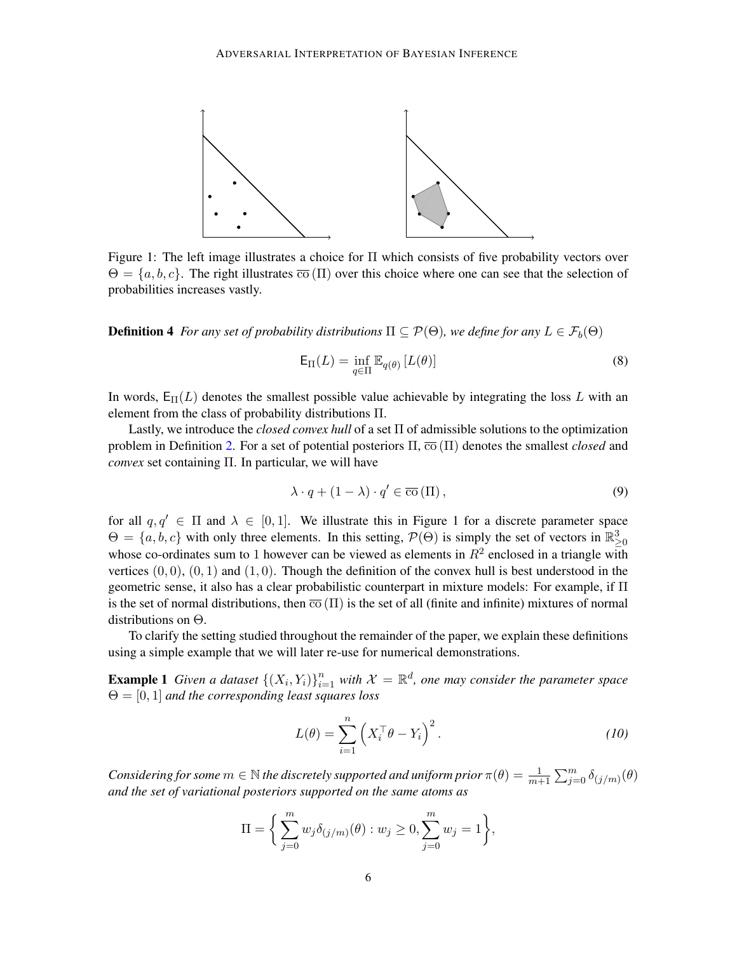

Figure 1: The left image illustrates a choice for Π which consists of five probability vectors over  $\Theta = \{a, b, c\}$ . The right illustrates  $\overline{co}(\Pi)$  over this choice where one can see that the selection of probabilities increases vastly.

**Definition 4** *For any set of probability distributions*  $\Pi \subseteq \mathcal{P}(\Theta)$ *, we define for any*  $L \in \mathcal{F}_b(\Theta)$ 

$$
\mathsf{E}_{\Pi}(L) = \inf_{q \in \Pi} \mathbb{E}_{q(\theta)} \left[ L(\theta) \right] \tag{8}
$$

In words,  $E_{\text{II}}(L)$  denotes the smallest possible value achievable by integrating the loss L with an element from the class of probability distributions Π.

Lastly, we introduce the *closed convex hull* of a set Π of admissible solutions to the optimization problem in Definition [2.](#page-3-0) For a set of potential posteriors  $\Pi$ ,  $\overline{co}(\Pi)$  denotes the smallest *closed* and *convex* set containing Π. In particular, we will have

$$
\lambda \cdot q + (1 - \lambda) \cdot q' \in \overline{\text{co}}(\Pi), \tag{9}
$$

for all  $q, q' \in \Pi$  and  $\lambda \in [0, 1]$ . We illustrate this in Figure 1 for a discrete parameter space  $\Theta = \{a, b, c\}$  with only three elements. In this setting,  $\mathcal{P}(\Theta)$  is simply the set of vectors in  $\mathbb{R}^3_{\geq 0}$ whose co-ordinates sum to 1 however can be viewed as elements in  $R^2$  enclosed in a triangle with vertices  $(0, 0)$ ,  $(0, 1)$  and  $(1, 0)$ . Though the definition of the convex hull is best understood in the geometric sense, it also has a clear probabilistic counterpart in mixture models: For example, if  $\Pi$ is the set of normal distributions, then  $\overline{co}(\Pi)$  is the set of all (finite and infinite) mixtures of normal distributions on Θ.

To clarify the setting studied throughout the remainder of the paper, we explain these definitions using a simple example that we will later re-use for numerical demonstrations.

**Example 1** Given a dataset  $\{(X_i, Y_i)\}_{i=1}^n$  with  $\mathcal{X} = \mathbb{R}^d$ , one may consider the parameter space Θ = [0, 1] *and the corresponding least squares loss*

$$
L(\theta) = \sum_{i=1}^{n} \left( X_i^{\top} \theta - Y_i \right)^2.
$$
 (10)

*Considering for some*  $m \in \mathbb{N}$  *the discretely supported and uniform prior*  $\pi(\theta) = \frac{1}{m+1} \sum_{j=0}^{m} \delta_{(j/m)}(\theta)$ *and the set of variational posteriors supported on the same atoms as*

$$
\Pi = \bigg\{ \sum_{j=0}^{m} w_j \delta_{(j/m)}(\theta) : w_j \ge 0, \sum_{j=0}^{m} w_j = 1 \bigg\},\
$$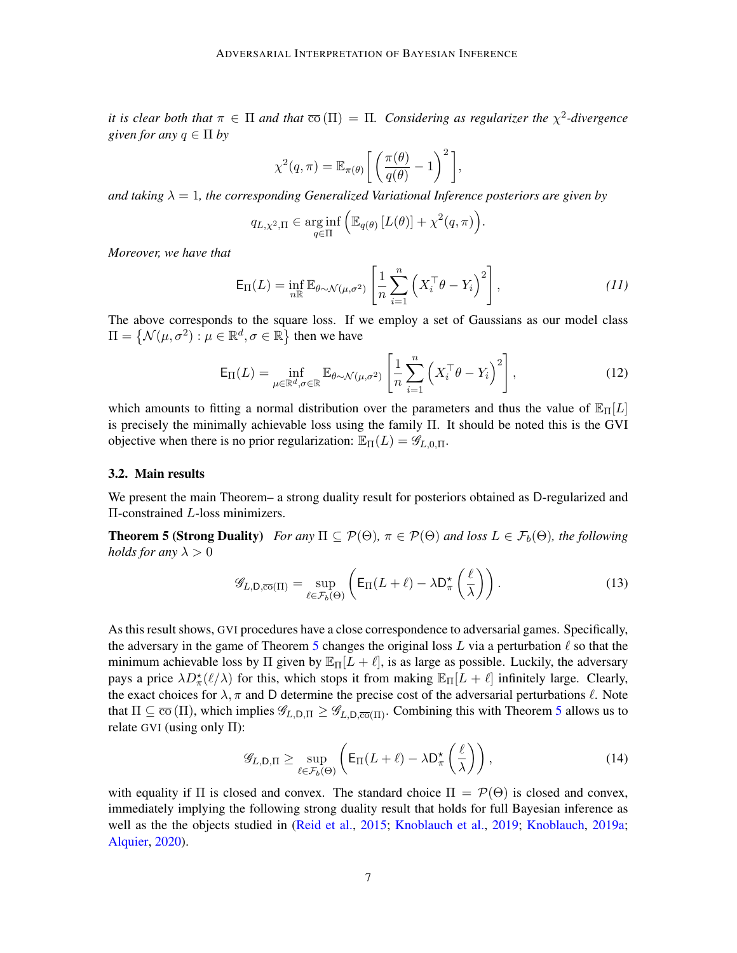*it is clear both that*  $\pi \in \Pi$  *and that*  $\overline{co}(\Pi) = \Pi$ . Considering as regularizer the  $\chi^2$ -divergence *given for any*  $q \in \Pi$  *by* 

$$
\chi^2(q,\pi) = \mathbb{E}_{\pi(\theta)} \left[ \left( \frac{\pi(\theta)}{q(\theta)} - 1 \right)^2 \right],
$$

*and taking*  $\lambda = 1$ *, the corresponding Generalized Variational Inference posteriors are given by* 

$$
q_{L,\chi^2,\Pi} \in \underset{q \in \Pi}{\arg\inf} \left( \mathbb{E}_{q(\theta)} \left[ L(\theta) \right] + \chi^2(q,\pi) \right).
$$

*Moreover, we have that*

$$
\mathsf{E}_{\Pi}(L) = \inf_{n \to \infty} \mathbb{E}_{\theta \sim \mathcal{N}(\mu, \sigma^2)} \left[ \frac{1}{n} \sum_{i=1}^n \left( X_i^\top \theta - Y_i \right)^2 \right],\tag{11}
$$

The above corresponds to the square loss. If we employ a set of Gaussians as our model class  $\Pi = \{ \mathcal{N}(\mu, \sigma^2) : \mu \in \mathbb{R}^d, \sigma \in \mathbb{R} \}$  then we have

$$
\mathsf{E}_{\Pi}(L) = \inf_{\mu \in \mathbb{R}^d, \sigma \in \mathbb{R}} \mathbb{E}_{\theta \sim \mathcal{N}(\mu, \sigma^2)} \left[ \frac{1}{n} \sum_{i=1}^n \left( X_i^\top \theta - Y_i \right)^2 \right],\tag{12}
$$

which amounts to fitting a normal distribution over the parameters and thus the value of  $\mathbb{E}_{\Pi}[L]$ is precisely the minimally achievable loss using the family Π. It should be noted this is the GVI objective when there is no prior regularization:  $\mathbb{E}_{\Pi}(L) = \mathscr{G}_{L,0,\Pi}$ .

#### <span id="page-6-1"></span>3.2. Main results

We present the main Theorem– a strong duality result for posteriors obtained as D-regularized and Π-constrained L-loss minimizers.

**Theorem 5 (Strong Duality)** *For any*  $\Pi \subseteq \mathcal{P}(\Theta)$ ,  $\pi \in \mathcal{P}(\Theta)$  *and loss*  $L \in \mathcal{F}_b(\Theta)$ *, the following holds for any*  $\lambda > 0$ 

<span id="page-6-2"></span><span id="page-6-0"></span>
$$
\mathscr{G}_{L,\mathsf{D},\overline{\text{co}}(\Pi)} = \sup_{\ell \in \mathcal{F}_b(\Theta)} \left( \mathsf{E}_{\Pi}(L+\ell) - \lambda \mathsf{D}_{\pi}^{\star} \left( \frac{\ell}{\lambda} \right) \right). \tag{13}
$$

As this result shows, GVI procedures have a close correspondence to adversarial games. Specifically, the adversary in the game of Theorem [5](#page-6-2) changes the original loss L via a perturbation  $\ell$  so that the minimum achievable loss by  $\Pi$  given by  $\mathbb{E}_{\Pi}[L + \ell]$ , is as large as possible. Luckily, the adversary pays a price  $\lambda D^{\star}_{\pi}(\ell/\lambda)$  for this, which stops it from making  $\mathbb{E}_{\Pi}[L + \ell]$  infinitely large. Clearly, the exact choices for  $\lambda$ ,  $\pi$  and D determine the precise cost of the adversarial perturbations  $\ell$ . Note that  $\Pi \subseteq \overline{co}(\Pi)$ , which implies  $\mathscr{G}_{L,\mathsf{D},\Pi} \geq \mathscr{G}_{L,\mathsf{D},\overline{co}(\Pi)}$ . Combining this with Theorem [5](#page-6-2) allows us to relate GVI (using only Π):

$$
\mathscr{G}_{L,\mathsf{D},\Pi} \ge \sup_{\ell \in \mathcal{F}_b(\Theta)} \left( \mathsf{E}_{\Pi}(L+\ell) - \lambda \mathsf{D}_{\pi}^{\star} \left( \frac{\ell}{\lambda} \right) \right),\tag{14}
$$

with equality if  $\Pi$  is closed and convex. The standard choice  $\Pi = \mathcal{P}(\Theta)$  is closed and convex, immediately implying the following strong duality result that holds for full Bayesian inference as well as the the objects studied in [\(Reid et al.,](#page-14-5) [2015;](#page-14-5) [Knoblauch et al.,](#page-13-0) [2019;](#page-13-0) [Knoblauch,](#page-13-8) [2019a;](#page-13-8) [Alquier,](#page-11-3) [2020\)](#page-11-3).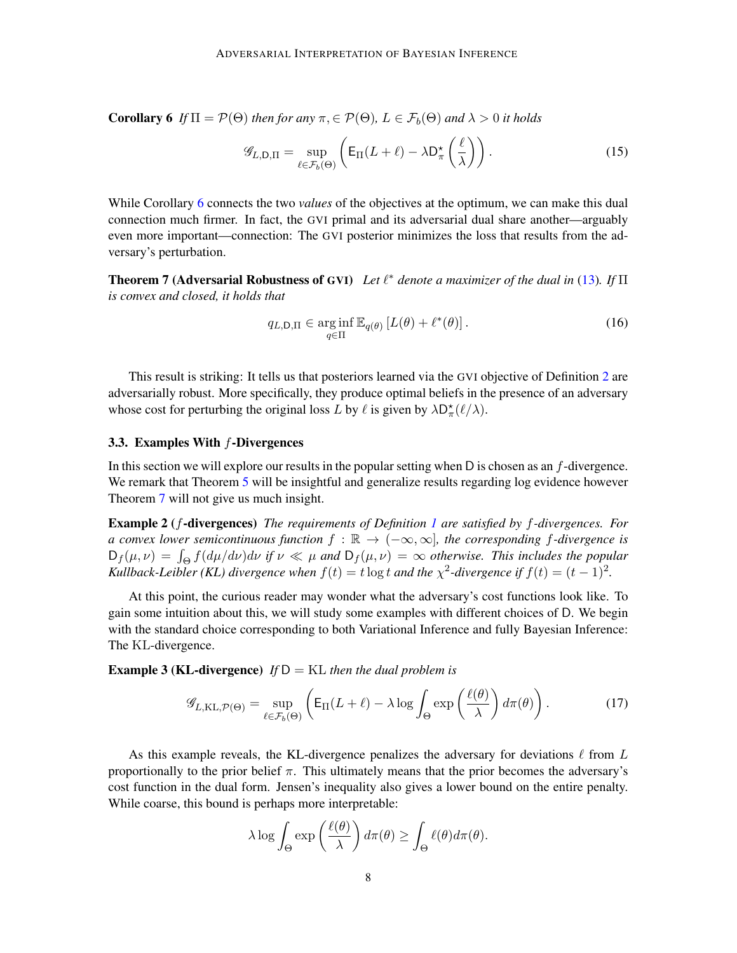Corollary 6 *If*  $\Pi = \mathcal{P}(\Theta)$  *then for any*  $\pi, \in \mathcal{P}(\Theta)$ ,  $L \in \mathcal{F}_b(\Theta)$  *and*  $\lambda > 0$  *it holds* 

<span id="page-7-2"></span>
$$
\mathcal{G}_{L,\mathsf{D},\Pi} = \sup_{\ell \in \mathcal{F}_b(\Theta)} \left( \mathsf{E}_{\Pi}(L+\ell) - \lambda \mathsf{D}_{\pi}^{\star} \left( \frac{\ell}{\lambda} \right) \right). \tag{15}
$$

While Corollary [6](#page-7-2) connects the two *values* of the objectives at the optimum, we can make this dual connection much firmer. In fact, the GVI primal and its adversarial dual share another—arguably even more important—connection: The GVI posterior minimizes the loss that results from the adversary's perturbation.

<span id="page-7-0"></span>**Theorem 7 (Adversarial Robustness of GVI)** Let  $\ell^*$  denote a maximizer of the dual in [\(13\)](#page-6-2). If  $\Pi$ *is convex and closed, it holds that*

<span id="page-7-3"></span>
$$
q_{L,\mathsf{D},\Pi} \in \underset{q \in \Pi}{\arg\inf} \, \mathbb{E}_{q(\theta)} \left[ L(\theta) + \ell^*(\theta) \right]. \tag{16}
$$

This result is striking: It tells us that posteriors learned via the GVI objective of Definition [2](#page-3-0) are adversarially robust. More specifically, they produce optimal beliefs in the presence of an adversary whose cost for perturbing the original loss L by  $\ell$  is given by  $\lambda D_{\pi}^{\star}(\ell/\lambda)$ .

## <span id="page-7-1"></span>3.3. Examples With f-Divergences

In this section we will explore our results in the popular setting when D is chosen as an f-divergence. We remark that Theorem [5](#page-6-0) will be insightful and generalize results regarding log evidence however Theorem [7](#page-7-3) will not give us much insight.

Example 2 (f-divergences) *The requirements of Definition [1](#page-3-1) are satisfied by* f*-divergences. For a convex lower semicontinuous function*  $f : \mathbb{R} \to (-\infty, \infty]$ , the corresponding f-divergence is  $D_f(\mu, \nu) = \int_{\Theta} f(d\mu/d\nu) d\nu$  *if*  $\nu \ll \mu$  *and*  $D_f(\mu, \nu) = \infty$  *otherwise. This includes the popular Kullback-Leibler (KL) divergence when*  $f(t) = t \log t$  *and the*  $\chi^2$ -divergence if  $f(t) = (t - 1)^2$ .

At this point, the curious reader may wonder what the adversary's cost functions look like. To gain some intuition about this, we will study some examples with different choices of D. We begin with the standard choice corresponding to both Variational Inference and fully Bayesian Inference: The KL-divergence.

Example 3 (KL-divergence) *If* D = KL *then the dual problem is*

$$
\mathscr{G}_{L,\mathrm{KL},\mathcal{P}(\Theta)} = \sup_{\ell \in \mathcal{F}_b(\Theta)} \left( \mathsf{E}_{\Pi}(L+\ell) - \lambda \log \int_{\Theta} \exp\left(\frac{\ell(\theta)}{\lambda}\right) d\pi(\theta) \right). \tag{17}
$$

As this example reveals, the KL-divergence penalizes the adversary for deviations  $\ell$  from L proportionally to the prior belief  $\pi$ . This ultimately means that the prior becomes the adversary's cost function in the dual form. Jensen's inequality also gives a lower bound on the entire penalty. While coarse, this bound is perhaps more interpretable:

<span id="page-7-4"></span>
$$
\lambda \log \int_{\Theta} \exp \left( \frac{\ell(\theta)}{\lambda} \right) d\pi(\theta) \ge \int_{\Theta} \ell(\theta) d\pi(\theta).
$$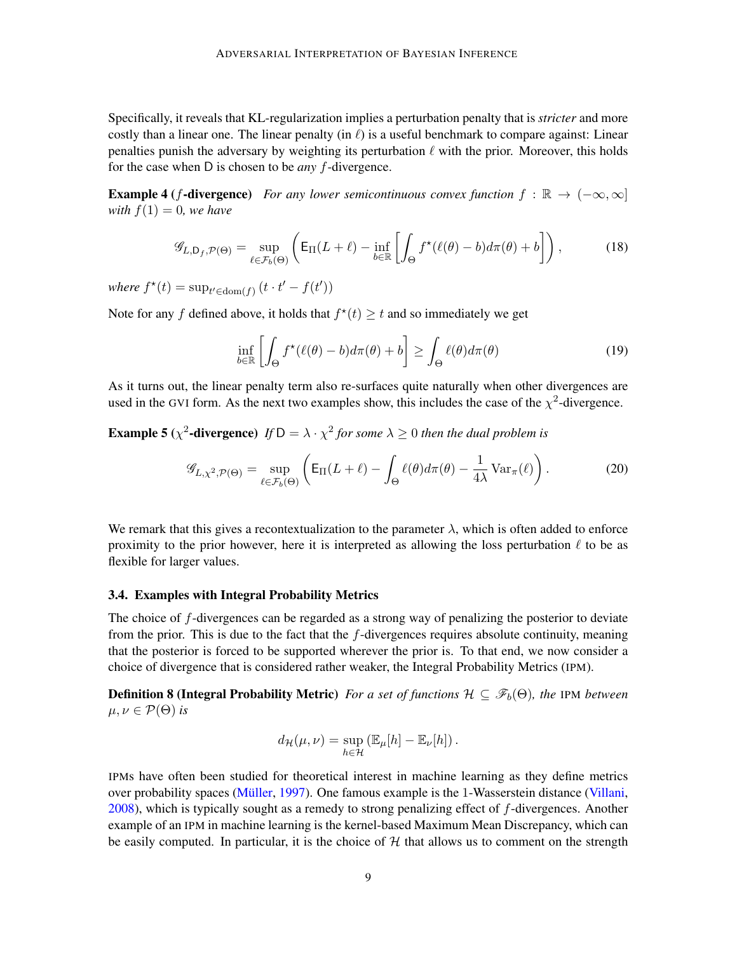Specifically, it reveals that KL-regularization implies a perturbation penalty that is *stricter* and more costly than a linear one. The linear penalty (in  $\ell$ ) is a useful benchmark to compare against: Linear penalties punish the adversary by weighting its perturbation  $\ell$  with the prior. Moreover, this holds for the case when D is chosen to be *any* f-divergence.

**Example 4** (f-divergence) *For any lower semicontinuous convex function*  $f : \mathbb{R} \to (-\infty, \infty]$ *with*  $f(1) = 0$ *, we have* 

<span id="page-8-1"></span>
$$
\mathscr{G}_{L,\mathsf{D}_f,\mathcal{P}(\Theta)} = \sup_{\ell \in \mathcal{F}_b(\Theta)} \left( \mathsf{E}_{\Pi}(L+\ell) - \inf_{b \in \mathbb{R}} \left[ \int_{\Theta} f^{\star}(\ell(\theta) - b) d\pi(\theta) + b \right] \right),\tag{18}
$$

where  $f^*(t) = \sup_{t' \in \text{dom}(f)} (t \cdot t' - f(t'))$ 

Note for any f defined above, it holds that  $f^*(t) \geq t$  and so immediately we get

<span id="page-8-2"></span>
$$
\inf_{b \in \mathbb{R}} \left[ \int_{\Theta} f^{\star}(\ell(\theta) - b) d\pi(\theta) + b \right] \ge \int_{\Theta} \ell(\theta) d\pi(\theta) \tag{19}
$$

As it turns out, the linear penalty term also re-surfaces quite naturally when other divergences are used in the GVI form. As the next two examples show, this includes the case of the  $\chi^2$ -divergence.

## **Example 5** ( $\chi^2$ -divergence) If  $D = \lambda \cdot \chi^2$  for some  $\lambda \ge 0$  then the dual problem is

$$
\mathscr{G}_{L,\chi^2,\mathcal{P}(\Theta)} = \sup_{\ell \in \mathcal{F}_b(\Theta)} \left( \mathsf{E}_{\Pi}(L+\ell) - \int_{\Theta} \ell(\theta) d\pi(\theta) - \frac{1}{4\lambda} \operatorname{Var}_{\pi}(\ell) \right). \tag{20}
$$

We remark that this gives a recontextualization to the parameter  $\lambda$ , which is often added to enforce proximity to the prior however, here it is interpreted as allowing the loss perturbation  $\ell$  to be as flexible for larger values.

#### <span id="page-8-0"></span>3.4. Examples with Integral Probability Metrics

The choice of f-divergences can be regarded as a strong way of penalizing the posterior to deviate from the prior. This is due to the fact that the f-divergences requires absolute continuity, meaning that the posterior is forced to be supported wherever the prior is. To that end, we now consider a choice of divergence that is considered rather weaker, the Integral Probability Metrics (IPM).

**Definition 8 (Integral Probability Metric)** *For a set of functions*  $H \subseteq \mathscr{F}_b(\Theta)$ *, the* IPM *between*  $\mu, \nu \in \mathcal{P}(\Theta)$  *is* 

$$
d_{\mathcal{H}}(\mu,\nu)=\sup_{h\in\mathcal{H}}\left(\mathbb{E}_{\mu}[h]-\mathbb{E}_{\nu}[h]\right).
$$

IPMs have often been studied for theoretical interest in machine learning as they define metrics over probability spaces (Müller, [1997\)](#page-14-11). One famous example is the 1-Wasserstein distance [\(Villani,](#page-15-6) [2008\)](#page-15-6), which is typically sought as a remedy to strong penalizing effect of f-divergences. Another example of an IPM in machine learning is the kernel-based Maximum Mean Discrepancy, which can be easily computed. In particular, it is the choice of  $H$  that allows us to comment on the strength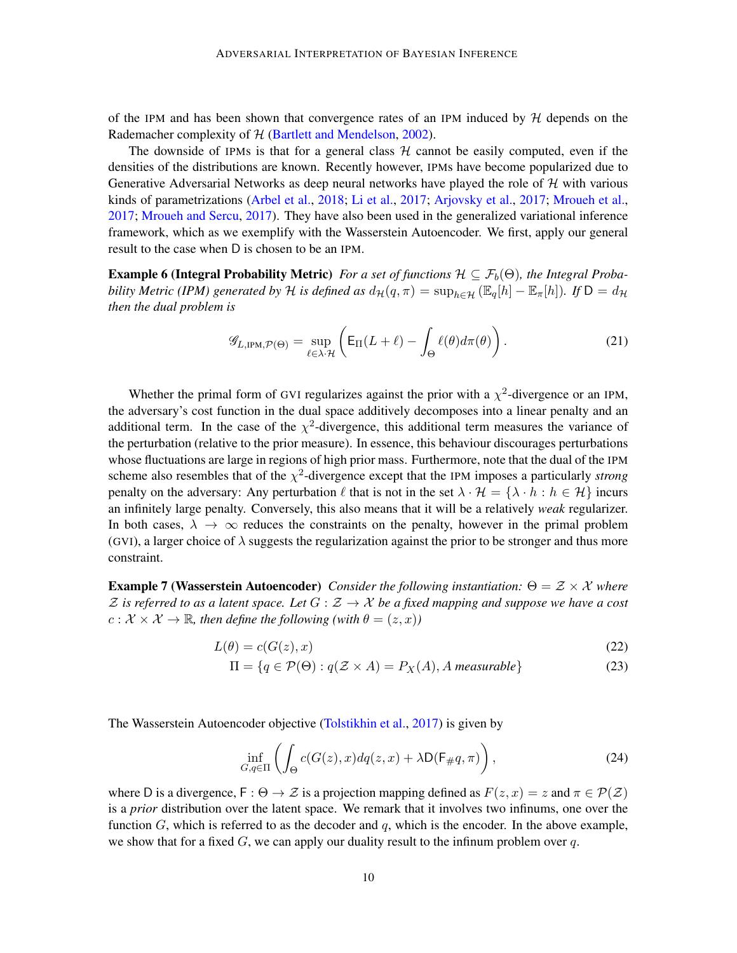of the IPM and has been shown that convergence rates of an IPM induced by  $H$  depends on the Rademacher complexity of H [\(Bartlett and Mendelson,](#page-11-12) [2002\)](#page-11-12).

The downside of IPMs is that for a general class  $H$  cannot be easily computed, even if the densities of the distributions are known. Recently however, IPMs have become popularized due to Generative Adversarial Networks as deep neural networks have played the role of  $H$  with various kinds of parametrizations [\(Arbel et al.,](#page-11-13) [2018;](#page-11-13) [Li et al.,](#page-13-16) [2017;](#page-13-16) [Arjovsky et al.,](#page-11-14) [2017;](#page-11-14) [Mroueh et al.,](#page-14-12) [2017;](#page-14-12) [Mroueh and Sercu,](#page-14-13) [2017\)](#page-14-13). They have also been used in the generalized variational inference framework, which as we exemplify with the Wasserstein Autoencoder. We first, apply our general result to the case when D is chosen to be an IPM.

**Example 6 (Integral Probability Metric)** *For a set of functions*  $\mathcal{H} \subseteq \mathcal{F}_b(\Theta)$ *, the Integral Probability Metric (IPM) generated by* H *is defined as*  $d_{\mathcal{H}}(q, \pi) = \sup_{h \in \mathcal{H}} (\mathbb{E}_q[h] - \mathbb{E}_\pi[h])$ *. If*  $D = d_{\mathcal{H}}$ *then the dual problem is*

<span id="page-9-1"></span>
$$
\mathcal{G}_{L,\text{IPM},\mathcal{P}(\Theta)} = \sup_{\ell \in \lambda \cdot \mathcal{H}} \left( \mathsf{E}_{\Pi}(L+\ell) - \int_{\Theta} \ell(\theta) d\pi(\theta) \right). \tag{21}
$$

Whether the primal form of GVI regularizes against the prior with a  $\chi^2$ -divergence or an IPM, the adversary's cost function in the dual space additively decomposes into a linear penalty and an additional term. In the case of the  $\chi^2$ -divergence, this additional term measures the variance of the perturbation (relative to the prior measure). In essence, this behaviour discourages perturbations whose fluctuations are large in regions of high prior mass. Furthermore, note that the dual of the IPM scheme also resembles that of the  $\chi^2$ -divergence except that the IPM imposes a particularly *strong* penalty on the adversary: Any perturbation  $\ell$  that is not in the set  $\lambda \cdot \mathcal{H} = {\lambda \cdot h : h \in \mathcal{H}}$  incurs an infinitely large penalty. Conversely, this also means that it will be a relatively *weak* regularizer. In both cases,  $\lambda \to \infty$  reduces the constraints on the penalty, however in the primal problem (GVI), a larger choice of  $\lambda$  suggests the regularization against the prior to be stronger and thus more constraint.

Example 7 (Wasserstein Autoencoder) *Consider the following instantiation:* Θ = Z × X *where*  $\mathcal Z$  is referred to as a latent space. Let  $G : \mathcal Z \to \mathcal X$  be a fixed mapping and suppose we have a cost  $c: \mathcal{X} \times \mathcal{X} \to \mathbb{R}$ , then define the following (with  $\theta = (z, x)$ )

$$
L(\theta) = c(G(z), x) \tag{22}
$$

$$
\Pi = \{ q \in \mathcal{P}(\Theta) : q(\mathcal{Z} \times A) = P_X(A), A \text{ measurable} \}
$$
\n(23)

The Wasserstein Autoencoder objective [\(Tolstikhin et al.,](#page-15-0) [2017\)](#page-15-0) is given by

<span id="page-9-0"></span>
$$
\inf_{G,q\in\Pi} \left( \int_{\Theta} c(G(z),x) dq(z,x) + \lambda \mathsf{D}(\mathsf{F}_\#q,\pi) \right),\tag{24}
$$

where D is a divergence,  $F: \Theta \to \mathcal{Z}$  is a projection mapping defined as  $F(z, x) = z$  and  $\pi \in \mathcal{P}(\mathcal{Z})$ is a *prior* distribution over the latent space. We remark that it involves two infinums, one over the function  $G$ , which is referred to as the decoder and q, which is the encoder. In the above example, we show that for a fixed  $G$ , we can apply our duality result to the infinum problem over q.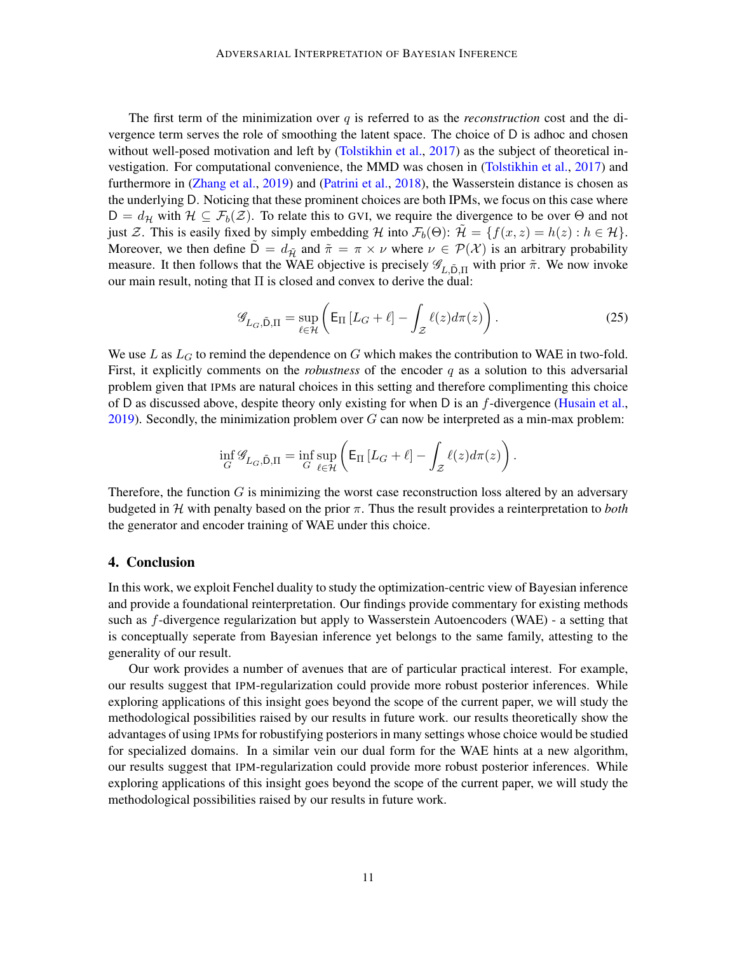The first term of the minimization over  $q$  is referred to as the *reconstruction* cost and the divergence term serves the role of smoothing the latent space. The choice of D is adhoc and chosen without well-posed motivation and left by [\(Tolstikhin et al.,](#page-15-0) [2017\)](#page-15-0) as the subject of theoretical investigation. For computational convenience, the MMD was chosen in [\(Tolstikhin et al.,](#page-15-0) [2017\)](#page-15-0) and furthermore in [\(Zhang et al.,](#page-15-7) [2019\)](#page-15-7) and [\(Patrini et al.,](#page-14-14) [2018\)](#page-14-14), the Wasserstein distance is chosen as the underlying D. Noticing that these prominent choices are both IPMs, we focus on this case where  $D = d_{\mathcal{H}}$  with  $\mathcal{H} \subseteq \mathcal{F}_b(\mathcal{Z})$ . To relate this to GVI, we require the divergence to be over  $\Theta$  and not just Z. This is easily fixed by simply embedding H into  $\mathcal{F}_b(\Theta)$ :  $\mathcal{H} = \{f(x, z) = h(z) : h \in \mathcal{H}\}\.$ Moreover, we then define  $\mathsf{D} = d_{\tilde{\mathcal{H}}}$  and  $\tilde{\pi} = \pi \times \nu$  where  $\nu \in \mathcal{P}(\mathcal{X})$  is an arbitrary probability measure. It then follows that the WAE objective is precisely  $\mathscr{G}_{L,\tilde{D},\Pi}$  with prior  $\tilde{\pi}$ . We now invoke our main result, noting that  $\Pi$  is closed and convex to derive the dual:

$$
\mathcal{G}_{L_G,\tilde{\mathbf{D}},\Pi} = \sup_{\ell \in \mathcal{H}} \left( \mathsf{E}_{\Pi} \left[ L_G + \ell \right] - \int_{\mathcal{Z}} \ell(z) d\pi(z) \right). \tag{25}
$$

We use L as  $L_G$  to remind the dependence on G which makes the contribution to WAE in two-fold. First, it explicitly comments on the *robustness* of the encoder q as a solution to this adversarial problem given that IPMs are natural choices in this setting and therefore complimenting this choice of D as discussed above, despite theory only existing for when D is an  $f$ -divergence [\(Husain et al.,](#page-13-10)  $2019$ ). Secondly, the minimization problem over G can now be interpreted as a min-max problem:

$$
\inf_{G} \mathcal{G}_{L_G, \tilde{\mathsf{D}}, \Pi} = \inf_{G} \sup_{\ell \in \mathcal{H}} \left( \mathsf{E}_{\Pi} \left[ L_G + \ell \right] - \int_{\mathcal{Z}} \ell(z) d\pi(z) \right).
$$

Therefore, the function  $G$  is minimizing the worst case reconstruction loss altered by an adversary budgeted in H with penalty based on the prior  $\pi$ . Thus the result provides a reinterpretation to *both* the generator and encoder training of WAE under this choice.

### 4. Conclusion

In this work, we exploit Fenchel duality to study the optimization-centric view of Bayesian inference and provide a foundational reinterpretation. Our findings provide commentary for existing methods such as f-divergence regularization but apply to Wasserstein Autoencoders (WAE) - a setting that is conceptually seperate from Bayesian inference yet belongs to the same family, attesting to the generality of our result.

Our work provides a number of avenues that are of particular practical interest. For example, our results suggest that IPM-regularization could provide more robust posterior inferences. While exploring applications of this insight goes beyond the scope of the current paper, we will study the methodological possibilities raised by our results in future work. our results theoretically show the advantages of using IPMs for robustifying posteriors in many settings whose choice would be studied for specialized domains. In a similar vein our dual form for the WAE hints at a new algorithm, our results suggest that IPM-regularization could provide more robust posterior inferences. While exploring applications of this insight goes beyond the scope of the current paper, we will study the methodological possibilities raised by our results in future work.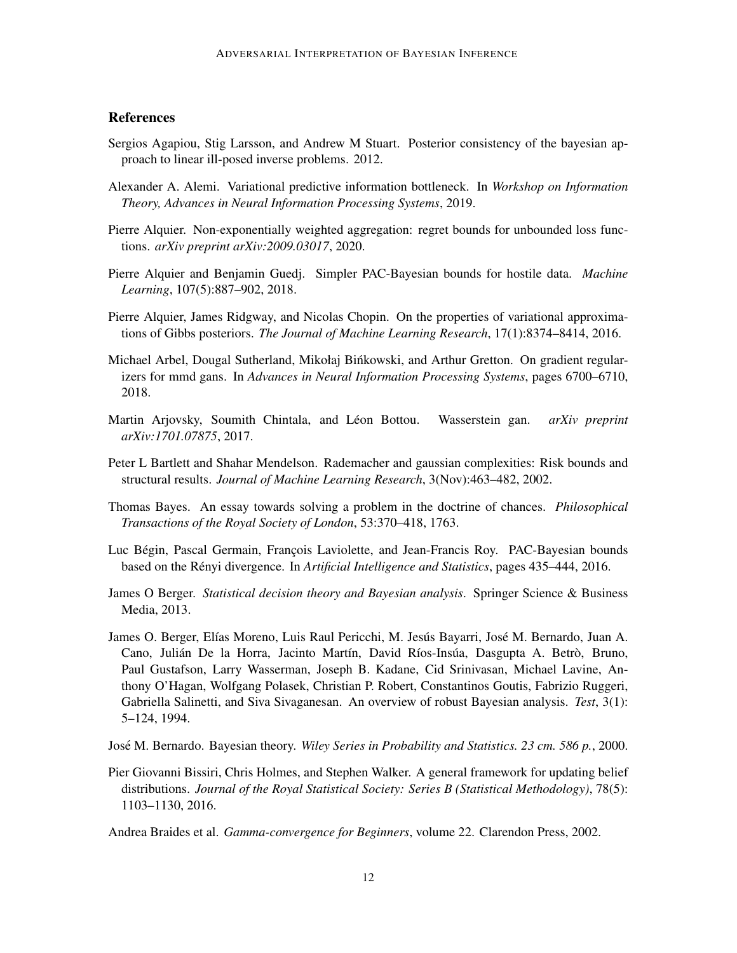## References

- <span id="page-11-5"></span>Sergios Agapiou, Stig Larsson, and Andrew M Stuart. Posterior consistency of the bayesian approach to linear ill-posed inverse problems. 2012.
- <span id="page-11-8"></span>Alexander A. Alemi. Variational predictive information bottleneck. In *Workshop on Information Theory, Advances in Neural Information Processing Systems*, 2019.
- <span id="page-11-3"></span>Pierre Alquier. Non-exponentially weighted aggregation: regret bounds for unbounded loss functions. *arXiv preprint arXiv:2009.03017*, 2020.
- <span id="page-11-11"></span>Pierre Alquier and Benjamin Guedj. Simpler PAC-Bayesian bounds for hostile data. *Machine Learning*, 107(5):887–902, 2018.
- <span id="page-11-9"></span>Pierre Alquier, James Ridgway, and Nicolas Chopin. On the properties of variational approximations of Gibbs posteriors. *The Journal of Machine Learning Research*, 17(1):8374–8414, 2016.
- <span id="page-11-13"></span>Michael Arbel, Dougal Sutherland, Mikołaj Binkowski, and Arthur Gretton. On gradient regular- ´ izers for mmd gans. In *Advances in Neural Information Processing Systems*, pages 6700–6710, 2018.
- <span id="page-11-14"></span>Martin Arjovsky, Soumith Chintala, and Léon Bottou. Wasserstein gan. *arXiv preprint arXiv:1701.07875*, 2017.
- <span id="page-11-12"></span>Peter L Bartlett and Shahar Mendelson. Rademacher and gaussian complexities: Risk bounds and structural results. *Journal of Machine Learning Research*, 3(Nov):463–482, 2002.
- <span id="page-11-6"></span>Thomas Bayes. An essay towards solving a problem in the doctrine of chances. *Philosophical Transactions of the Royal Society of London*, 53:370–418, 1763.
- <span id="page-11-10"></span>Luc Bégin, Pascal Germain, François Laviolette, and Jean-Francis Roy. PAC-Bayesian bounds based on the Rényi divergence. In *Artificial Intelligence and Statistics*, pages 435–444, 2016.
- <span id="page-11-2"></span>James O Berger. *Statistical decision theory and Bayesian analysis*. Springer Science & Business Media, 2013.
- <span id="page-11-7"></span>James O. Berger, Elías Moreno, Luis Raul Pericchi, M. Jesús Bayarri, José M. Bernardo, Juan A. Cano, Julián De la Horra, Jacinto Martín, David Ríos-Insúa, Dasgupta A. Betrò, Bruno, Paul Gustafson, Larry Wasserman, Joseph B. Kadane, Cid Srinivasan, Michael Lavine, Anthony O'Hagan, Wolfgang Polasek, Christian P. Robert, Constantinos Goutis, Fabrizio Ruggeri, Gabriella Salinetti, and Siva Sivaganesan. An overview of robust Bayesian analysis. *Test*, 3(1): 5–124, 1994.
- <span id="page-11-1"></span>José M. Bernardo. Bayesian theory. *Wiley Series in Probability and Statistics. 23 cm. 586 p.*, 2000.
- <span id="page-11-0"></span>Pier Giovanni Bissiri, Chris Holmes, and Stephen Walker. A general framework for updating belief distributions. *Journal of the Royal Statistical Society: Series B (Statistical Methodology)*, 78(5): 1103–1130, 2016.

<span id="page-11-4"></span>Andrea Braides et al. *Gamma-convergence for Beginners*, volume 22. Clarendon Press, 2002.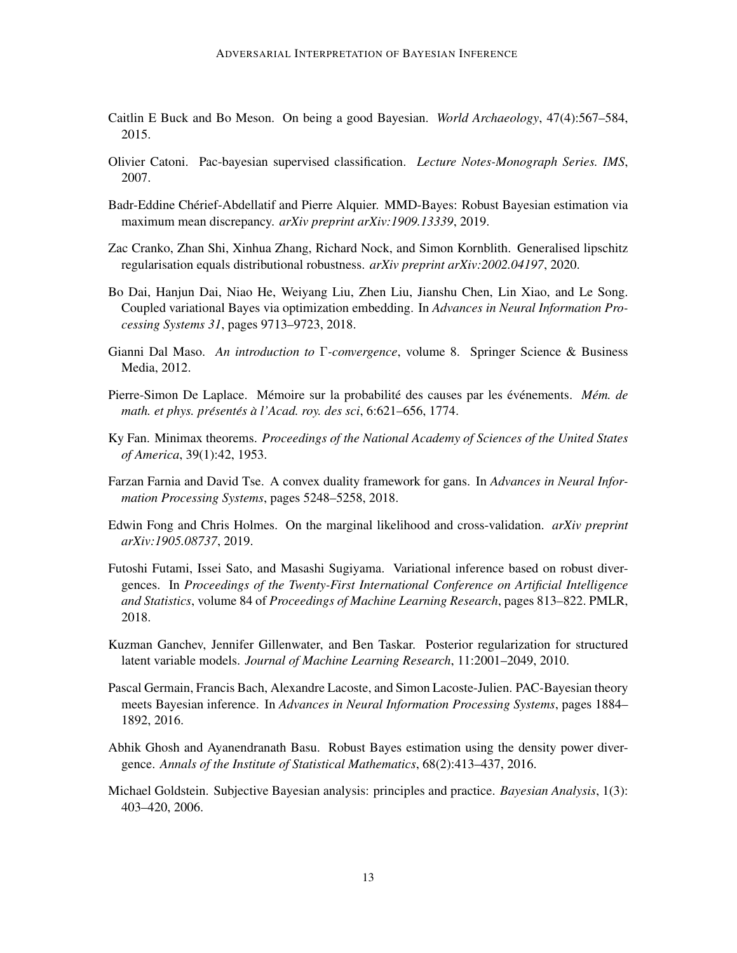- <span id="page-12-1"></span>Caitlin E Buck and Bo Meson. On being a good Bayesian. *World Archaeology*, 47(4):567–584, 2015.
- <span id="page-12-5"></span>Olivier Catoni. Pac-bayesian supervised classification. *Lecture Notes-Monograph Series. IMS*, 2007.
- <span id="page-12-4"></span>Badr-Eddine Cherief-Abdellatif and Pierre Alquier. MMD-Bayes: Robust Bayesian estimation via ´ maximum mean discrepancy. *arXiv preprint arXiv:1909.13339*, 2019.
- <span id="page-12-13"></span>Zac Cranko, Zhan Shi, Xinhua Zhang, Richard Nock, and Simon Kornblith. Generalised lipschitz regularisation equals distributional robustness. *arXiv preprint arXiv:2002.04197*, 2020.
- <span id="page-12-12"></span>Bo Dai, Hanjun Dai, Niao He, Weiyang Liu, Zhen Liu, Jianshu Chen, Lin Xiao, and Le Song. Coupled variational Bayes via optimization embedding. In *Advances in Neural Information Processing Systems 31*, pages 9713–9723, 2018.
- <span id="page-12-7"></span>Gianni Dal Maso. *An introduction to* Γ*-convergence*, volume 8. Springer Science & Business Media, 2012.
- <span id="page-12-9"></span>Pierre-Simon De Laplace. Mémoire sur la probabilité des causes par les événements. Mém. de *math. et phys. présentés à l'Acad. roy. des sci, 6:621–656, 1774.*
- <span id="page-12-14"></span>Ky Fan. Minimax theorems. *Proceedings of the National Academy of Sciences of the United States of America*, 39(1):42, 1953.
- <span id="page-12-8"></span>Farzan Farnia and David Tse. A convex duality framework for gans. In *Advances in Neural Information Processing Systems*, pages 5248–5258, 2018.
- <span id="page-12-2"></span>Edwin Fong and Chris Holmes. On the marginal likelihood and cross-validation. *arXiv preprint arXiv:1905.08737*, 2019.
- <span id="page-12-10"></span>Futoshi Futami, Issei Sato, and Masashi Sugiyama. Variational inference based on robust divergences. In *Proceedings of the Twenty-First International Conference on Artificial Intelligence and Statistics*, volume 84 of *Proceedings of Machine Learning Research*, pages 813–822. PMLR, 2018.
- <span id="page-12-11"></span>Kuzman Ganchev, Jennifer Gillenwater, and Ben Taskar. Posterior regularization for structured latent variable models. *Journal of Machine Learning Research*, 11:2001–2049, 2010.
- <span id="page-12-6"></span>Pascal Germain, Francis Bach, Alexandre Lacoste, and Simon Lacoste-Julien. PAC-Bayesian theory meets Bayesian inference. In *Advances in Neural Information Processing Systems*, pages 1884– 1892, 2016.
- <span id="page-12-3"></span>Abhik Ghosh and Ayanendranath Basu. Robust Bayes estimation using the density power divergence. *Annals of the Institute of Statistical Mathematics*, 68(2):413–437, 2016.
- <span id="page-12-0"></span>Michael Goldstein. Subjective Bayesian analysis: principles and practice. *Bayesian Analysis*, 1(3): 403–420, 2006.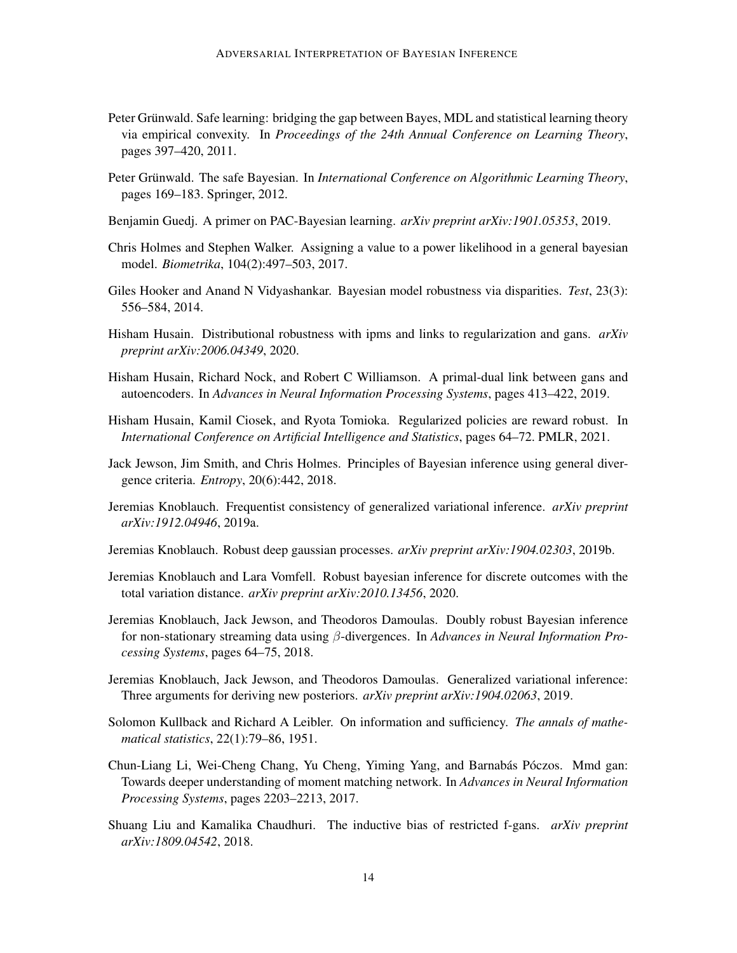- <span id="page-13-1"></span>Peter Grünwald. Safe learning: bridging the gap between Bayes, MDL and statistical learning theory via empirical convexity. In *Proceedings of the 24th Annual Conference on Learning Theory*, pages 397–420, 2011.
- <span id="page-13-2"></span>Peter Grünwald. The safe Bayesian. In *International Conference on Algorithmic Learning Theory*, pages 169–183. Springer, 2012.
- <span id="page-13-7"></span>Benjamin Guedj. A primer on PAC-Bayesian learning. *arXiv preprint arXiv:1901.05353*, 2019.
- <span id="page-13-4"></span>Chris Holmes and Stephen Walker. Assigning a value to a power likelihood in a general bayesian model. *Biometrika*, 104(2):497–503, 2017.
- <span id="page-13-3"></span>Giles Hooker and Anand N Vidyashankar. Bayesian model robustness via disparities. *Test*, 23(3): 556–584, 2014.
- <span id="page-13-11"></span>Hisham Husain. Distributional robustness with ipms and links to regularization and gans. *arXiv preprint arXiv:2006.04349*, 2020.
- <span id="page-13-10"></span>Hisham Husain, Richard Nock, and Robert C Williamson. A primal-dual link between gans and autoencoders. In *Advances in Neural Information Processing Systems*, pages 413–422, 2019.
- <span id="page-13-15"></span>Hisham Husain, Kamil Ciosek, and Ryota Tomioka. Regularized policies are reward robust. In *International Conference on Artificial Intelligence and Statistics*, pages 64–72. PMLR, 2021.
- <span id="page-13-5"></span>Jack Jewson, Jim Smith, and Chris Holmes. Principles of Bayesian inference using general divergence criteria. *Entropy*, 20(6):442, 2018.
- <span id="page-13-8"></span>Jeremias Knoblauch. Frequentist consistency of generalized variational inference. *arXiv preprint arXiv:1912.04946*, 2019a.
- <span id="page-13-14"></span>Jeremias Knoblauch. Robust deep gaussian processes. *arXiv preprint arXiv:1904.02303*, 2019b.
- <span id="page-13-6"></span>Jeremias Knoblauch and Lara Vomfell. Robust bayesian inference for discrete outcomes with the total variation distance. *arXiv preprint arXiv:2010.13456*, 2020.
- <span id="page-13-13"></span>Jeremias Knoblauch, Jack Jewson, and Theodoros Damoulas. Doubly robust Bayesian inference for non-stationary streaming data using β-divergences. In *Advances in Neural Information Processing Systems*, pages 64–75, 2018.
- <span id="page-13-0"></span>Jeremias Knoblauch, Jack Jewson, and Theodoros Damoulas. Generalized variational inference: Three arguments for deriving new posteriors. *arXiv preprint arXiv:1904.02063*, 2019.
- <span id="page-13-12"></span>Solomon Kullback and Richard A Leibler. On information and sufficiency. *The annals of mathematical statistics*, 22(1):79–86, 1951.
- <span id="page-13-16"></span>Chun-Liang Li, Wei-Cheng Chang, Yu Cheng, Yiming Yang, and Barnabás Póczos. Mmd gan: Towards deeper understanding of moment matching network. In *Advances in Neural Information Processing Systems*, pages 2203–2213, 2017.
- <span id="page-13-9"></span>Shuang Liu and Kamalika Chaudhuri. The inductive bias of restricted f-gans. *arXiv preprint arXiv:1809.04542*, 2018.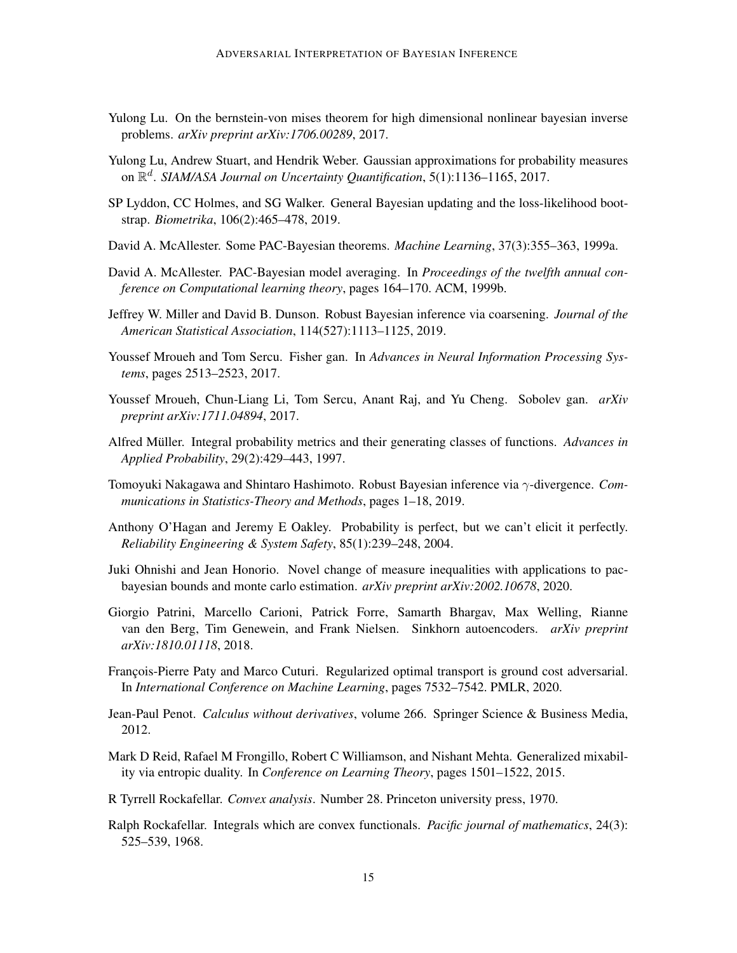- <span id="page-14-6"></span>Yulong Lu. On the bernstein-von mises theorem for high dimensional nonlinear bayesian inverse problems. *arXiv preprint arXiv:1706.00289*, 2017.
- <span id="page-14-7"></span>Yulong Lu, Andrew Stuart, and Hendrik Weber. Gaussian approximations for probability measures on R d . *SIAM/ASA Journal on Uncertainty Quantification*, 5(1):1136–1165, 2017.
- <span id="page-14-2"></span>SP Lyddon, CC Holmes, and SG Walker. General Bayesian updating and the loss-likelihood bootstrap. *Biometrika*, 106(2):465–478, 2019.
- <span id="page-14-3"></span>David A. McAllester. Some PAC-Bayesian theorems. *Machine Learning*, 37(3):355–363, 1999a.
- <span id="page-14-4"></span>David A. McAllester. PAC-Bayesian model averaging. In *Proceedings of the twelfth annual conference on Computational learning theory*, pages 164–170. ACM, 1999b.
- <span id="page-14-8"></span>Jeffrey W. Miller and David B. Dunson. Robust Bayesian inference via coarsening. *Journal of the American Statistical Association*, 114(527):1113–1125, 2019.
- <span id="page-14-13"></span>Youssef Mroueh and Tom Sercu. Fisher gan. In *Advances in Neural Information Processing Systems*, pages 2513–2523, 2017.
- <span id="page-14-12"></span>Youssef Mroueh, Chun-Liang Li, Tom Sercu, Anant Raj, and Yu Cheng. Sobolev gan. *arXiv preprint arXiv:1711.04894*, 2017.
- <span id="page-14-11"></span>Alfred Müller. Integral probability metrics and their generating classes of functions. Advances in *Applied Probability*, 29(2):429–443, 1997.
- <span id="page-14-1"></span>Tomoyuki Nakagawa and Shintaro Hashimoto. Robust Bayesian inference via γ-divergence. *Communications in Statistics-Theory and Methods*, pages 1–18, 2019.
- <span id="page-14-0"></span>Anthony O'Hagan and Jeremy E Oakley. Probability is perfect, but we can't elicit it perfectly. *Reliability Engineering & System Safety*, 85(1):239–248, 2004.
- <span id="page-14-9"></span>Juki Ohnishi and Jean Honorio. Novel change of measure inequalities with applications to pacbayesian bounds and monte carlo estimation. *arXiv preprint arXiv:2002.10678*, 2020.
- <span id="page-14-14"></span>Giorgio Patrini, Marcello Carioni, Patrick Forre, Samarth Bhargav, Max Welling, Rianne van den Berg, Tim Genewein, and Frank Nielsen. Sinkhorn autoencoders. *arXiv preprint arXiv:1810.01118*, 2018.
- <span id="page-14-10"></span>François-Pierre Paty and Marco Cuturi. Regularized optimal transport is ground cost adversarial. In *International Conference on Machine Learning*, pages 7532–7542. PMLR, 2020.
- <span id="page-14-17"></span>Jean-Paul Penot. *Calculus without derivatives*, volume 266. Springer Science & Business Media, 2012.
- <span id="page-14-5"></span>Mark D Reid, Rafael M Frongillo, Robert C Williamson, and Nishant Mehta. Generalized mixability via entropic duality. In *Conference on Learning Theory*, pages 1501–1522, 2015.
- <span id="page-14-15"></span>R Tyrrell Rockafellar. *Convex analysis*. Number 28. Princeton university press, 1970.
- <span id="page-14-16"></span>Ralph Rockafellar. Integrals which are convex functionals. *Pacific journal of mathematics*, 24(3): 525–539, 1968.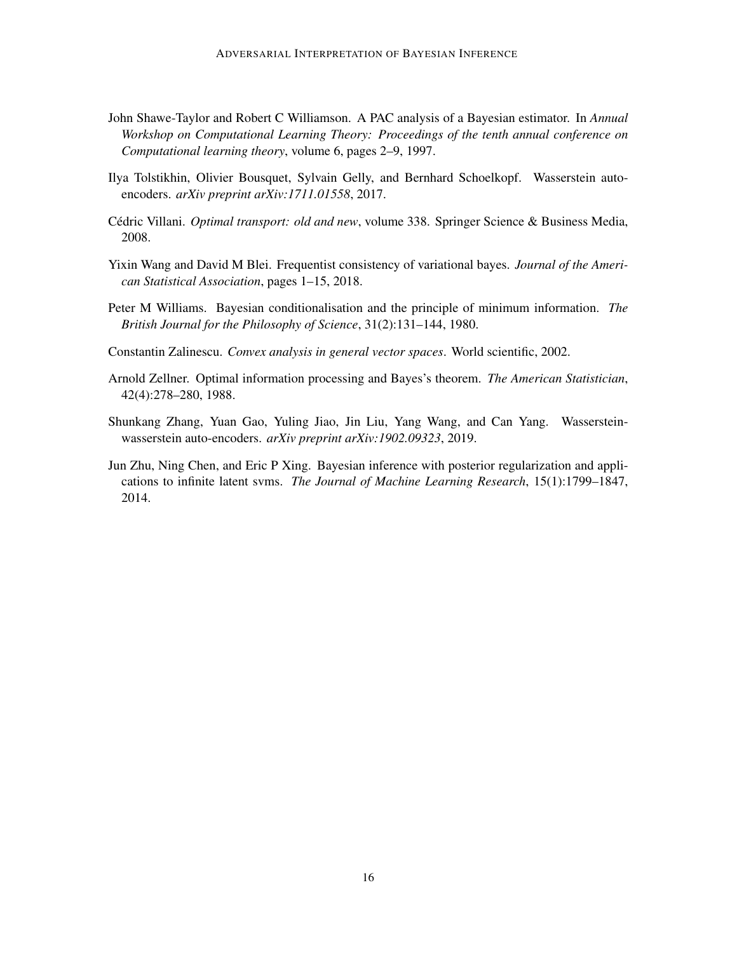- <span id="page-15-3"></span>John Shawe-Taylor and Robert C Williamson. A PAC analysis of a Bayesian estimator. In *Annual Workshop on Computational Learning Theory: Proceedings of the tenth annual conference on Computational learning theory*, volume 6, pages 2–9, 1997.
- <span id="page-15-0"></span>Ilya Tolstikhin, Olivier Bousquet, Sylvain Gelly, and Bernhard Schoelkopf. Wasserstein autoencoders. *arXiv preprint arXiv:1711.01558*, 2017.
- <span id="page-15-6"></span>Cédric Villani. *Optimal transport: old and new*, volume 338. Springer Science & Business Media, 2008.
- <span id="page-15-4"></span>Yixin Wang and David M Blei. Frequentist consistency of variational bayes. *Journal of the American Statistical Association*, pages 1–15, 2018.
- <span id="page-15-1"></span>Peter M Williams. Bayesian conditionalisation and the principle of minimum information. *The British Journal for the Philosophy of Science*, 31(2):131–144, 1980.
- <span id="page-15-8"></span>Constantin Zalinescu. *Convex analysis in general vector spaces*. World scientific, 2002.
- <span id="page-15-2"></span>Arnold Zellner. Optimal information processing and Bayes's theorem. *The American Statistician*, 42(4):278–280, 1988.
- <span id="page-15-7"></span>Shunkang Zhang, Yuan Gao, Yuling Jiao, Jin Liu, Yang Wang, and Can Yang. Wassersteinwasserstein auto-encoders. *arXiv preprint arXiv:1902.09323*, 2019.
- <span id="page-15-5"></span>Jun Zhu, Ning Chen, and Eric P Xing. Bayesian inference with posterior regularization and applications to infinite latent svms. *The Journal of Machine Learning Research*, 15(1):1799–1847, 2014.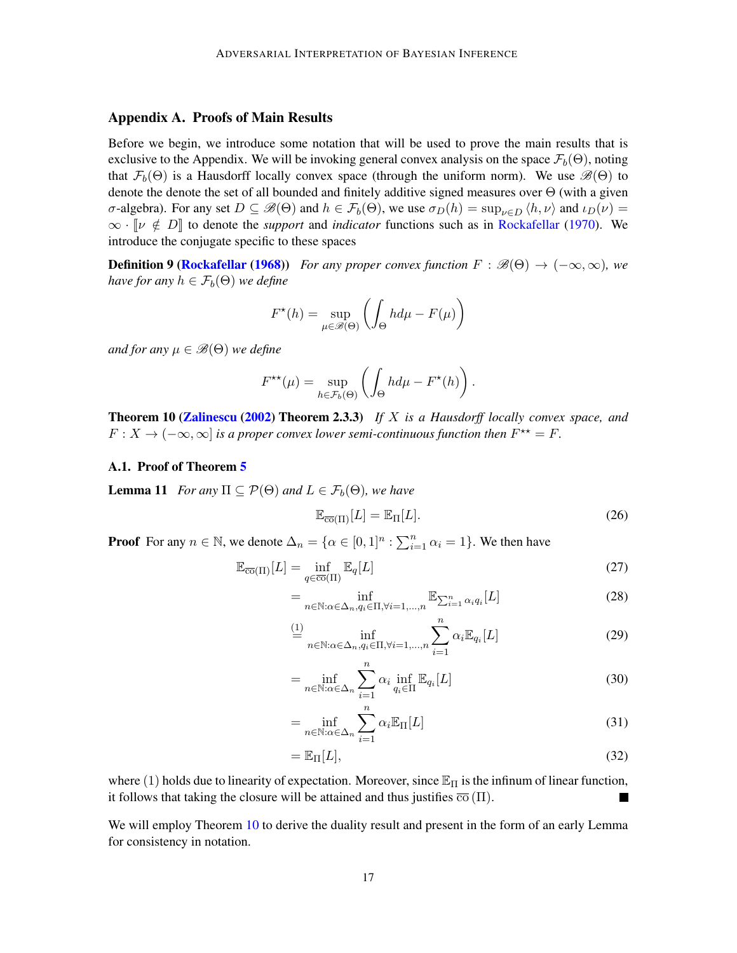## Appendix A. Proofs of Main Results

Before we begin, we introduce some notation that will be used to prove the main results that is exclusive to the Appendix. We will be invoking general convex analysis on the space  $\mathcal{F}_b(\Theta)$ , noting that  $\mathcal{F}_b(\Theta)$  is a Hausdorff locally convex space (through the uniform norm). We use  $\mathcal{B}(\Theta)$  to denote the denote the set of all bounded and finitely additive signed measures over Θ (with a given σ-algebra). For any set  $D \subseteq \mathscr{B}(\Theta)$  and  $h \in \mathcal{F}_b(\Theta)$ , we use  $\sigma_D(h) = \sup_{\nu \in D} \langle h, \nu \rangle$  and  $\iota_D(\nu) =$  $\infty$  ·  $\lbrack \nu \notin D \rbrack$  to denote the *support* and *indicator* functions such as in [Rockafellar](#page-14-15) [\(1970\)](#page-14-15). We introduce the conjugate specific to these spaces

**Definition 9 [\(Rockafellar](#page-14-16) [\(1968\)](#page-14-16))** *For any proper convex function*  $F : \mathscr{B}(\Theta) \to (-\infty, \infty)$ *, we have for any*  $h \in \mathcal{F}_b(\Theta)$  *we define* 

<span id="page-16-1"></span>
$$
F^{\star}(h) = \sup_{\mu \in \mathcal{B}(\Theta)} \left( \int_{\Theta} h d\mu - F(\mu) \right)
$$

*and for any*  $\mu \in \mathcal{B}(\Theta)$  *we define* 

$$
F^{\star\star}(\mu) = \sup_{h \in \mathcal{F}_b(\Theta)} \left( \int_{\Theta} h d\mu - F^{\star}(h) \right).
$$

<span id="page-16-0"></span>Theorem 10 [\(Zalinescu](#page-15-8) [\(2002\)](#page-15-8) Theorem 2.3.3) *If* X *is a Hausdorff locally convex space, and*  $F: X \to (-\infty, \infty]$  *is a proper convex lower semi-continuous function then*  $F^{\star\star} = F$ *.* 

#### A.1. Proof of Theorem [5](#page-6-0)

<span id="page-16-3"></span>**Lemma 11** *For any*  $\Pi \subseteq \mathcal{P}(\Theta)$  *and*  $L \in \mathcal{F}_b(\Theta)$ *, we have* 

$$
\mathbb{E}_{\overline{\text{co}}(\Pi)}[L] = \mathbb{E}_{\Pi}[L].\tag{26}
$$

**Proof** For any  $n \in \mathbb{N}$ , we denote  $\Delta_n = \{ \alpha \in [0,1]^n : \sum_{i=1}^n \alpha_i = 1 \}$ . We then have

$$
\mathbb{E}_{\overline{\text{co}}(\Pi)}[L] = \inf_{q \in \overline{\text{co}}(\Pi)} \mathbb{E}_q[L] \tag{27}
$$

$$
= \inf_{n \in \mathbb{N}: \alpha \in \Delta_n, q_i \in \Pi, \forall i=1,\dots,n} \mathbb{E}_{\sum_{i=1}^n \alpha_i q_i} [L]
$$
(28)

$$
\stackrel{(1)}{=} \inf_{n \in \mathbb{N} : \alpha \in \Delta_n, q_i \in \Pi, \forall i = 1, \dots, n} \sum_{i=1}^n \alpha_i \mathbb{E}_{q_i}[L]
$$
\n(29)

$$
= \inf_{n \in \mathbb{N}: \alpha \in \Delta_n} \sum_{i=1}^n \alpha_i \inf_{q_i \in \Pi} \mathbb{E}_{q_i}[L]
$$
(30)

$$
= \inf_{n \in \mathbb{N}: \alpha \in \Delta_n} \sum_{i=1}^n \alpha_i \mathbb{E}_{\Pi}[L]
$$
\n(31)

<span id="page-16-2"></span>
$$
=\mathbb{E}_{\Pi}[L],\tag{32}
$$

where (1) holds due to linearity of expectation. Moreover, since  $\mathbb{E}_{\Pi}$  is the infinum of linear function, it follows that taking the closure will be attained and thus justifies  $\overline{co}(\Pi)$ .

We will employ Theorem [10](#page-16-0) to derive the duality result and present in the form of an early Lemma for consistency in notation.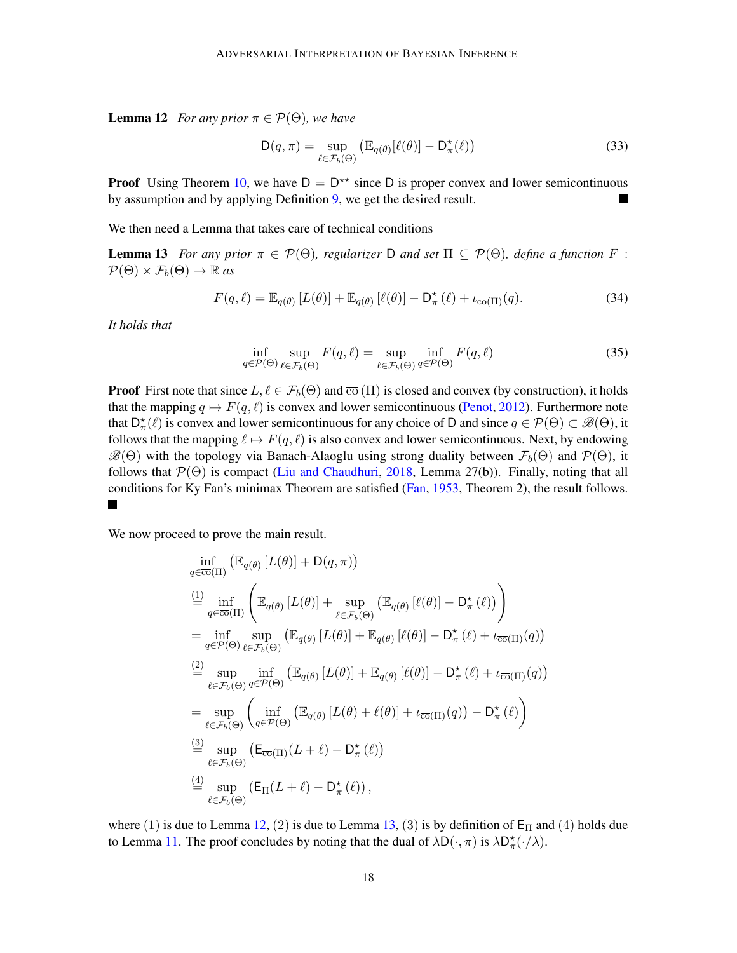**Lemma 12** *For any prior*  $\pi \in \mathcal{P}(\Theta)$ *, we have* 

<span id="page-17-0"></span>
$$
D(q,\pi) = \sup_{\ell \in \mathcal{F}_b(\Theta)} \left( \mathbb{E}_{q(\theta)}[\ell(\theta)] - D_{\pi}^{\star}(\ell) \right)
$$
(33)

**Proof** Using Theorem [10,](#page-16-0) we have  $D = D^{**}$  since D is proper convex and lower semicontinuous by assumption and by applying Definition [9,](#page-16-1) we get the desired result.

We then need a Lemma that takes care of technical conditions

**Lemma 13** *For any prior*  $\pi \in \mathcal{P}(\Theta)$ , *regularizer* D *and set*  $\Pi \subseteq \mathcal{P}(\Theta)$ , *define a function* F:  $\mathcal{P}(\Theta) \times \mathcal{F}_b(\Theta) \to \mathbb{R}$  as

$$
F(q,\ell) = \mathbb{E}_{q(\theta)} \left[ L(\theta) \right] + \mathbb{E}_{q(\theta)} \left[ \ell(\theta) \right] - \mathsf{D}_{\pi}^{\star}(\ell) + \iota_{\overline{\text{co}}(\Pi)}(q). \tag{34}
$$

*It holds that*

$$
\inf_{q \in \mathcal{P}(\Theta)} \sup_{\ell \in \mathcal{F}_b(\Theta)} F(q, \ell) = \sup_{\ell \in \mathcal{F}_b(\Theta)} \inf_{q \in \mathcal{P}(\Theta)} F(q, \ell)
$$
(35)

**Proof** First note that since  $L, \ell \in \mathcal{F}_b(\Theta)$  and  $\overline{co}(\Pi)$  is closed and convex (by construction), it holds that the mapping  $q \mapsto F(q, \ell)$  is convex and lower semicontinuous [\(Penot,](#page-14-17) [2012\)](#page-14-17). Furthermore note that  $D^{\star}_{\pi}(\ell)$  is convex and lower semicontinuous for any choice of D and since  $q \in \mathcal{P}(\Theta) \subset \mathscr{B}(\Theta)$ , it follows that the mapping  $\ell \mapsto F(q, \ell)$  is also convex and lower semicontinuous. Next, by endowing  $\mathscr{B}(\Theta)$  with the topology via Banach-Alaoglu using strong duality between  $\mathcal{F}_b(\Theta)$  and  $\mathcal{P}(\Theta)$ , it follows that  $\mathcal{P}(\Theta)$  is compact [\(Liu and Chaudhuri,](#page-13-9) [2018,](#page-13-9) Lemma 27(b)). Finally, noting that all conditions for Ky Fan's minimax Theorem are satisfied [\(Fan,](#page-12-14) [1953,](#page-12-14) Theorem 2), the result follows.  $\blacksquare$ 

We now proceed to prove the main result.

 $\mathcal{L}$ 

$$
\inf_{q \in \overline{co}(\Pi)} (\mathbb{E}_{q(\theta)} [L(\theta)] + D(q, \pi))
$$
\n
$$
\stackrel{(1)}{=} \inf_{q \in \overline{co}(\Pi)} (\mathbb{E}_{q(\theta)} [L(\theta)] + \sup_{\ell \in \mathcal{F}_b(\Theta)} (\mathbb{E}_{q(\theta)} [\ell(\theta)] - D_{\pi}^{\star} (\ell)) )
$$
\n
$$
= \inf_{q \in \mathcal{P}(\Theta)} \sup_{\ell \in \mathcal{F}_b(\Theta)} (\mathbb{E}_{q(\theta)} [L(\theta)] + \mathbb{E}_{q(\theta)} [\ell(\theta)] - D_{\pi}^{\star} (\ell) + \iota_{\overline{co}(\Pi)}(q))
$$
\n
$$
\stackrel{(2)}{=} \sup_{\ell \in \mathcal{F}_b(\Theta)} \inf_{q \in \mathcal{P}(\Theta)} (\mathbb{E}_{q(\theta)} [L(\theta)] + \mathbb{E}_{q(\theta)} [\ell(\theta)] - D_{\pi}^{\star} (\ell) + \iota_{\overline{co}(\Pi)}(q))
$$
\n
$$
= \sup_{\ell \in \mathcal{F}_b(\Theta)} (\inf_{q \in \mathcal{P}(\Theta)} (\mathbb{E}_{q(\theta)} [L(\theta) + \ell(\theta)] + \iota_{\overline{co}(\Pi)}(q)) - D_{\pi}^{\star} (\ell))
$$
\n
$$
\stackrel{(3)}{=} \sup_{\ell \in \mathcal{F}_b(\Theta)} (E_{\overline{co}(\Pi)} (L + \ell) - D_{\pi}^{\star} (\ell))
$$
\n
$$
\stackrel{(4)}{=} \sup_{\ell \in \mathcal{F}_b(\Theta)} (\mathsf{E}_{\Pi} (L + \ell) - D_{\pi}^{\star} (\ell)),
$$

where (1) is due to Lemma [12,](#page-16-2) (2) is due to Lemma [13,](#page-17-0) (3) is by definition of  $E_{\Pi}$  and (4) holds due to Lemma [11.](#page-16-3) The proof concludes by noting that the dual of  $\lambda D(\cdot, \pi)$  is  $\lambda D_{\pi}^{\star}(\cdot/\lambda)$ .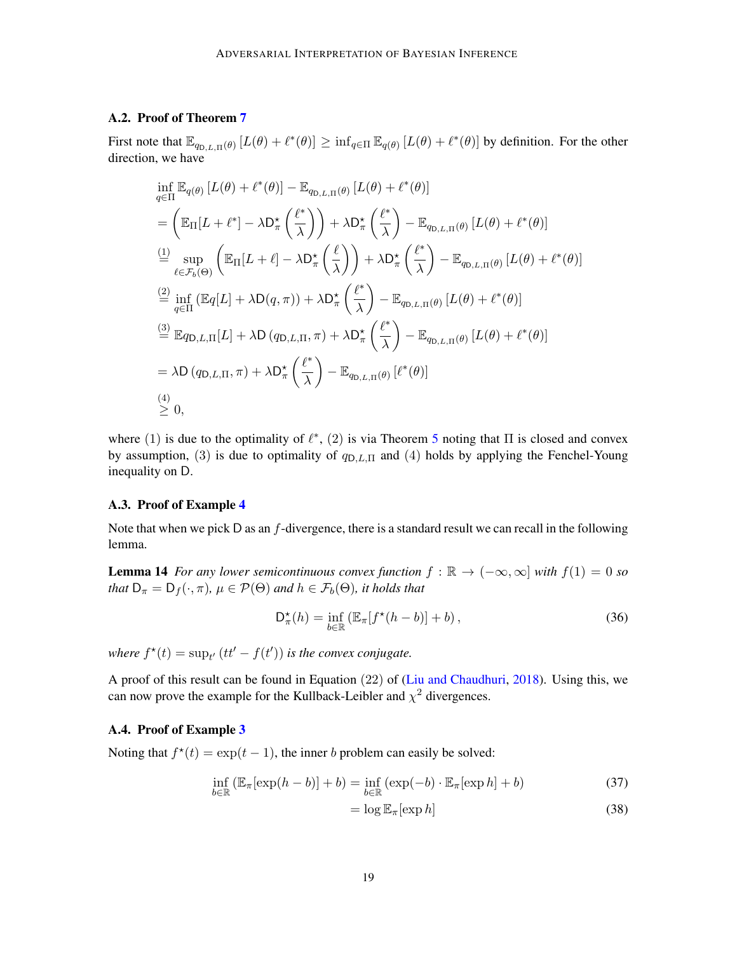## A.2. Proof of Theorem [7](#page-7-3)

First note that  $\mathbb{E}_{q_{\text{D},L,\Pi}(\theta)} [L(\theta) + \ell^*(\theta)] \ge \inf_{q \in \Pi} \mathbb{E}_{q(\theta)} [L(\theta) + \ell^*(\theta)]$  by definition. For the other direction, we have

$$
\inf_{q\in\Pi} \mathbb{E}_{q(\theta)} [L(\theta) + \ell^*(\theta)] - \mathbb{E}_{q_{\text{D},L,\Pi}(\theta)} [L(\theta) + \ell^*(\theta)]
$$
\n
$$
= \left( \mathbb{E}_{\Pi}[L + \ell^*] - \lambda \mathsf{D}_{\pi}^{\star} \left( \frac{\ell^*}{\lambda} \right) \right) + \lambda \mathsf{D}_{\pi}^{\star} \left( \frac{\ell^*}{\lambda} \right) - \mathbb{E}_{q_{\text{D},L,\Pi}(\theta)} [L(\theta) + \ell^*(\theta)]
$$
\n
$$
\stackrel{\text{(1)}}{=} \sup_{\ell \in \mathcal{F}_b(\Theta)} \left( \mathbb{E}_{\Pi}[L + \ell] - \lambda \mathsf{D}_{\pi}^{\star} \left( \frac{\ell}{\lambda} \right) \right) + \lambda \mathsf{D}_{\pi}^{\star} \left( \frac{\ell^*}{\lambda} \right) - \mathbb{E}_{q_{\text{D},L,\Pi}(\theta)} [L(\theta) + \ell^*(\theta)]
$$
\n
$$
\stackrel{\text{(2)}}{=} \inf_{q \in \Pi} (\mathbb{E}_{q}[L] + \lambda \mathsf{D}(q, \pi)) + \lambda \mathsf{D}_{\pi}^{\star} \left( \frac{\ell^*}{\lambda} \right) - \mathbb{E}_{q_{\text{D},L,\Pi}(\theta)} [L(\theta) + \ell^*(\theta)]
$$
\n
$$
\stackrel{\text{(3)}}{=} \mathbb{E}_{q_{\text{D},L,\Pi}}[L] + \lambda \mathsf{D}(q_{\text{D},L,\Pi}, \pi) + \lambda \mathsf{D}_{\pi}^{\star} \left( \frac{\ell^*}{\lambda} \right) - \mathbb{E}_{q_{\text{D},L,\Pi}(\theta)} [L(\theta) + \ell^*(\theta)]
$$
\n
$$
= \lambda \mathsf{D}(q_{\text{D},L,\Pi}, \pi) + \lambda \mathsf{D}_{\pi}^{\star} \left( \frac{\ell^*}{\lambda} \right) - \mathbb{E}_{q_{\text{D},L,\Pi}(\theta)} [\ell^*(\theta)]
$$
\n
$$
\stackrel{\text{(4)}}{=} 0,
$$

where (1) is due to the optimality of  $\ell^*$ , (2) is via Theorem [5](#page-6-0) noting that  $\Pi$  is closed and convex by assumption, (3) is due to optimality of  $q_{D,L,\Pi}$  and (4) holds by applying the Fenchel-Young inequality on D.

### A.3. Proof of Example [4](#page-8-1)

Note that when we pick  $D$  as an  $f$ -divergence, there is a standard result we can recall in the following lemma.

**Lemma 14** *For any lower semicontinuous convex function*  $f : \mathbb{R} \to (-\infty, \infty]$  *with*  $f(1) = 0$  *so that*  $D_{\pi} = D_f(\cdot, \pi)$ *,*  $\mu \in \mathcal{P}(\Theta)$  *and*  $h \in \mathcal{F}_b(\Theta)$ *, it holds that* 

$$
\mathsf{D}_{\pi}^{\star}(h) = \inf_{b \in \mathbb{R}} \left( \mathbb{E}_{\pi} [f^{\star}(h - b)] + b \right),\tag{36}
$$

*where*  $f^*(t) = \sup_{t'} (tt' - f(t'))$  *is the convex conjugate.* 

A proof of this result can be found in Equation (22) of [\(Liu and Chaudhuri,](#page-13-9) [2018\)](#page-13-9). Using this, we can now prove the example for the Kullback-Leibler and  $\chi^2$  divergences.

### A.4. Proof of Example [3](#page-7-4)

Noting that  $f^*(t) = \exp(t-1)$ , the inner b problem can easily be solved:

$$
\inf_{b \in \mathbb{R}} \left( \mathbb{E}_{\pi}[\exp(h - b)] + b \right) = \inf_{b \in \mathbb{R}} \left( \exp(-b) \cdot \mathbb{E}_{\pi}[\exp h] + b \right) \tag{37}
$$

$$
= \log \mathbb{E}_{\pi}[\exp h] \tag{38}
$$